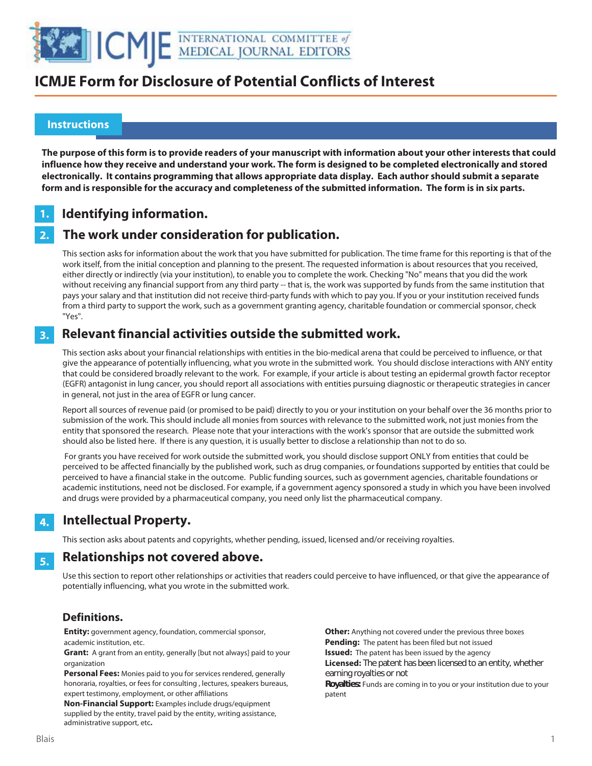

#### **Instructions**

 

> **The purpose of this form is to provide readers of your manuscript with information about your other interests that could influence how they receive and understand your work. The form is designed to be completed electronically and stored electronically. It contains programming that allows appropriate data display. Each author should submit a separate form and is responsible for the accuracy and completeness of the submitted information. The form is in six parts.**

#### **Identifying information. 1.**

#### **The work under consideration for publication. 2.**

This section asks for information about the work that you have submitted for publication. The time frame for this reporting is that of the work itself, from the initial conception and planning to the present. The requested information is about resources that you received, either directly or indirectly (via your institution), to enable you to complete the work. Checking "No" means that you did the work without receiving any financial support from any third party -- that is, the work was supported by funds from the same institution that pays your salary and that institution did not receive third-party funds with which to pay you. If you or your institution received funds from a third party to support the work, such as a government granting agency, charitable foundation or commercial sponsor, check "Yes".

#### **Relevant financial activities outside the submitted work. 3.**

This section asks about your financial relationships with entities in the bio-medical arena that could be perceived to influence, or that give the appearance of potentially influencing, what you wrote in the submitted work. You should disclose interactions with ANY entity that could be considered broadly relevant to the work. For example, if your article is about testing an epidermal growth factor receptor (EGFR) antagonist in lung cancer, you should report all associations with entities pursuing diagnostic or therapeutic strategies in cancer in general, not just in the area of EGFR or lung cancer.

Report all sources of revenue paid (or promised to be paid) directly to you or your institution on your behalf over the 36 months prior to submission of the work. This should include all monies from sources with relevance to the submitted work, not just monies from the entity that sponsored the research. Please note that your interactions with the work's sponsor that are outside the submitted work should also be listed here. If there is any question, it is usually better to disclose a relationship than not to do so.

 For grants you have received for work outside the submitted work, you should disclose support ONLY from entities that could be perceived to be affected financially by the published work, such as drug companies, or foundations supported by entities that could be perceived to have a financial stake in the outcome. Public funding sources, such as government agencies, charitable foundations or academic institutions, need not be disclosed. For example, if a government agency sponsored a study in which you have been involved and drugs were provided by a pharmaceutical company, you need only list the pharmaceutical company.

#### **Intellectual Property. 4.**

This section asks about patents and copyrights, whether pending, issued, licensed and/or receiving royalties.

#### **Relationships not covered above. 5.**

Use this section to report other relationships or activities that readers could perceive to have influenced, or that give the appearance of potentially influencing, what you wrote in the submitted work.

### **Definitions.**

**Entity:** government agency, foundation, commercial sponsor, academic institution, etc.

**Grant:** A grant from an entity, generally [but not always] paid to your organization

**Personal Fees:** Monies paid to you for services rendered, generally honoraria, royalties, or fees for consulting , lectures, speakers bureaus, expert testimony, employment, or other affiliations

**Non-Financial Support:** Examples include drugs/equipment supplied by the entity, travel paid by the entity, writing assistance, administrative support, etc**.**

**Other:** Anything not covered under the previous three boxes **Pending:** The patent has been filed but not issued **Issued:** The patent has been issued by the agency **Licensed:** The patent has been licensed to an entity, whether earning royalties or not **Royalties:** Funds are coming in to you or your institution due to your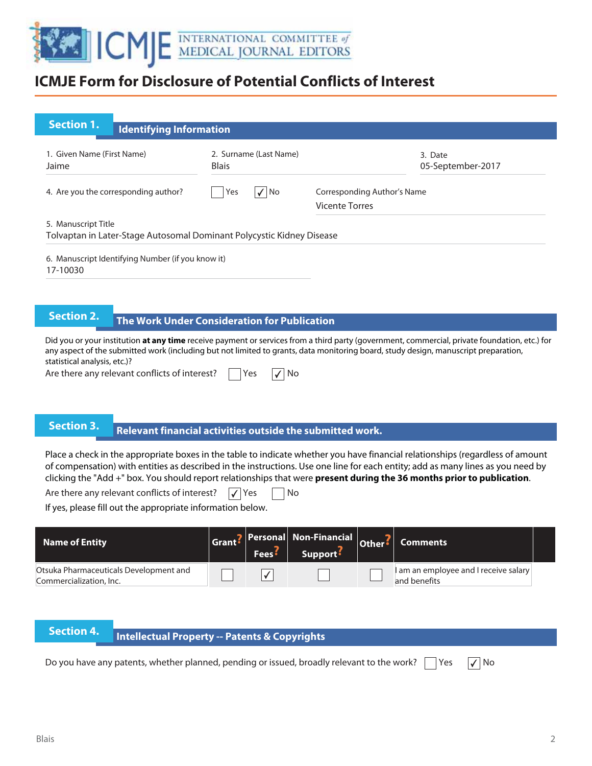

| <b>Section 1.</b>                    | <b>Identifying Information</b>                    |                                                                       |                                                      |
|--------------------------------------|---------------------------------------------------|-----------------------------------------------------------------------|------------------------------------------------------|
| 1. Given Name (First Name)<br>Jaime  |                                                   | 2. Surname (Last Name)<br><b>Blais</b>                                | 3. Date<br>05-September-2017                         |
| 4. Are you the corresponding author? |                                                   | $\sqrt{ NQ}$<br>Yes                                                   | Corresponding Author's Name<br><b>Vicente Torres</b> |
| 5. Manuscript Title                  |                                                   | Tolvaptan in Later-Stage Autosomal Dominant Polycystic Kidney Disease |                                                      |
| 17-10030                             | 6. Manuscript Identifying Number (if you know it) |                                                                       |                                                      |

### **The Work Under Consideration for Publication**

Did you or your institution **at any time** receive payment or services from a third party (government, commercial, private foundation, etc.) for any aspect of the submitted work (including but not limited to grants, data monitoring board, study design, manuscript preparation, statistical analysis, etc.)?

Are there any relevant conflicts of interest?  $\Box$  Yes  $\Box$  No

### **Relevant financial activities outside the submitted work. Section 3. Relevant financial activities outset**

Place a check in the appropriate boxes in the table to indicate whether you have financial relationships (regardless of amount of compensation) with entities as described in the instructions. Use one line for each entity; add as many lines as you need by clicking the "Add +" box. You should report relationships that were **present during the 36 months prior to publication**.

Are there any relevant conflicts of interest?  $\sqrt{\ }$  Yes  $\Box$  No

If yes, please fill out the appropriate information below.

| Name of Entity                                                    | Fees <sup>5</sup> | Grant? Personal Non-Financial Other? Comments<br>Support f |                                                       |  |
|-------------------------------------------------------------------|-------------------|------------------------------------------------------------|-------------------------------------------------------|--|
| Otsuka Pharmaceuticals Development and<br>Commercialization, Inc. |                   |                                                            | I am an employee and I receive salary<br>and benefits |  |

**Intellectual Property -- Patents & Copyrights**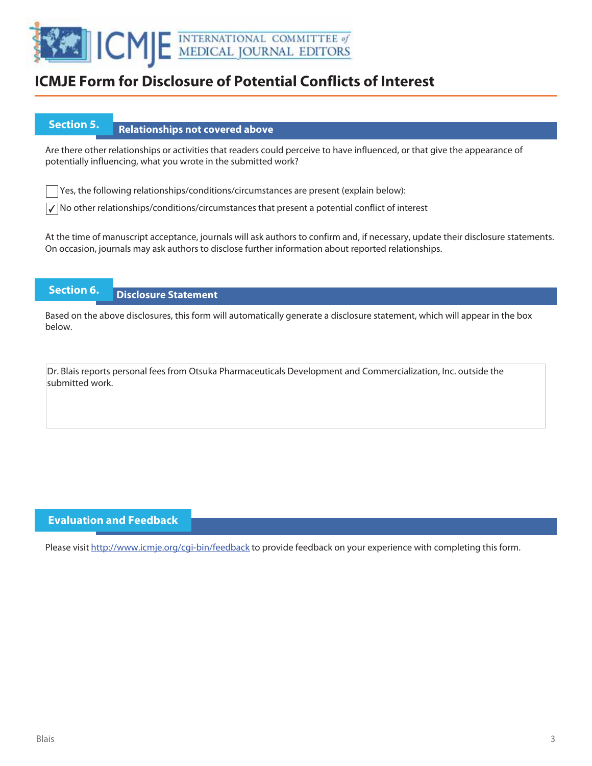

### **Section 5.** Relationships not covered above

Are there other relationships or activities that readers could perceive to have influenced, or that give the appearance of potentially influencing, what you wrote in the submitted work?

Yes, the following relationships/conditions/circumstances are present (explain below):

 $\sqrt{\ }$  No other relationships/conditions/circumstances that present a potential conflict of interest

At the time of manuscript acceptance, journals will ask authors to confirm and, if necessary, update their disclosure statements. On occasion, journals may ask authors to disclose further information about reported relationships.

### **Section 6. Disclosure Statement**

Based on the above disclosures, this form will automatically generate a disclosure statement, which will appear in the box below.

Dr. Blais reports personal fees from Otsuka Pharmaceuticals Development and Commercialization, Inc. outside the submitted work.

### **Evaluation and Feedback**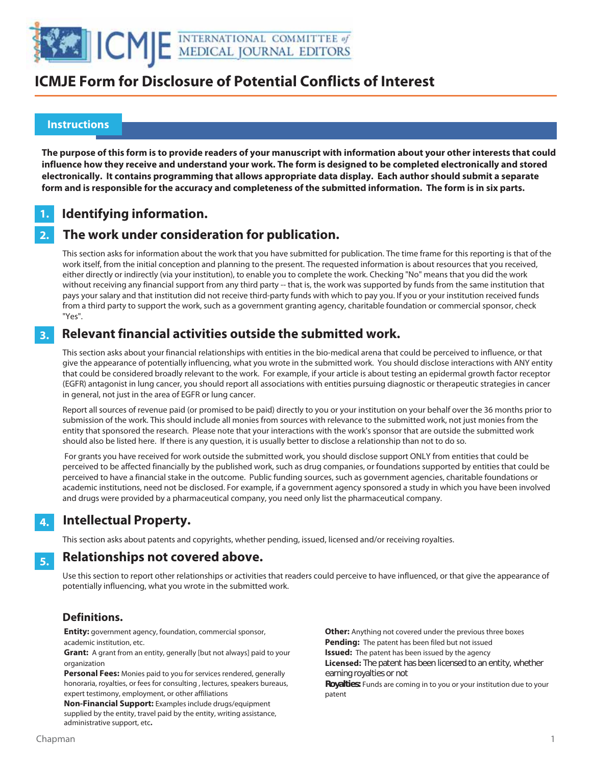

#### **Instructions**

 

> **The purpose of this form is to provide readers of your manuscript with information about your other interests that could influence how they receive and understand your work. The form is designed to be completed electronically and stored electronically. It contains programming that allows appropriate data display. Each author should submit a separate form and is responsible for the accuracy and completeness of the submitted information. The form is in six parts.**

#### **Identifying information. 1.**

#### **The work under consideration for publication. 2.**

This section asks for information about the work that you have submitted for publication. The time frame for this reporting is that of the work itself, from the initial conception and planning to the present. The requested information is about resources that you received, either directly or indirectly (via your institution), to enable you to complete the work. Checking "No" means that you did the work without receiving any financial support from any third party -- that is, the work was supported by funds from the same institution that pays your salary and that institution did not receive third-party funds with which to pay you. If you or your institution received funds from a third party to support the work, such as a government granting agency, charitable foundation or commercial sponsor, check "Yes".

#### **Relevant financial activities outside the submitted work. 3.**

This section asks about your financial relationships with entities in the bio-medical arena that could be perceived to influence, or that give the appearance of potentially influencing, what you wrote in the submitted work. You should disclose interactions with ANY entity that could be considered broadly relevant to the work. For example, if your article is about testing an epidermal growth factor receptor (EGFR) antagonist in lung cancer, you should report all associations with entities pursuing diagnostic or therapeutic strategies in cancer in general, not just in the area of EGFR or lung cancer.

Report all sources of revenue paid (or promised to be paid) directly to you or your institution on your behalf over the 36 months prior to submission of the work. This should include all monies from sources with relevance to the submitted work, not just monies from the entity that sponsored the research. Please note that your interactions with the work's sponsor that are outside the submitted work should also be listed here. If there is any question, it is usually better to disclose a relationship than not to do so.

 For grants you have received for work outside the submitted work, you should disclose support ONLY from entities that could be perceived to be affected financially by the published work, such as drug companies, or foundations supported by entities that could be perceived to have a financial stake in the outcome. Public funding sources, such as government agencies, charitable foundations or academic institutions, need not be disclosed. For example, if a government agency sponsored a study in which you have been involved and drugs were provided by a pharmaceutical company, you need only list the pharmaceutical company.

#### **Intellectual Property. 4.**

This section asks about patents and copyrights, whether pending, issued, licensed and/or receiving royalties.

#### **Relationships not covered above. 5.**

Use this section to report other relationships or activities that readers could perceive to have influenced, or that give the appearance of potentially influencing, what you wrote in the submitted work.

### **Definitions.**

**Entity:** government agency, foundation, commercial sponsor, academic institution, etc.

**Grant:** A grant from an entity, generally [but not always] paid to your organization

**Personal Fees:** Monies paid to you for services rendered, generally honoraria, royalties, or fees for consulting , lectures, speakers bureaus, expert testimony, employment, or other affiliations

**Non-Financial Support:** Examples include drugs/equipment supplied by the entity, travel paid by the entity, writing assistance, administrative support, etc**.**

**Other:** Anything not covered under the previous three boxes **Pending:** The patent has been filed but not issued **Issued:** The patent has been issued by the agency **Licensed:** The patent has been licensed to an entity, whether earning royalties or not **Royalties:** Funds are coming in to you or your institution due to your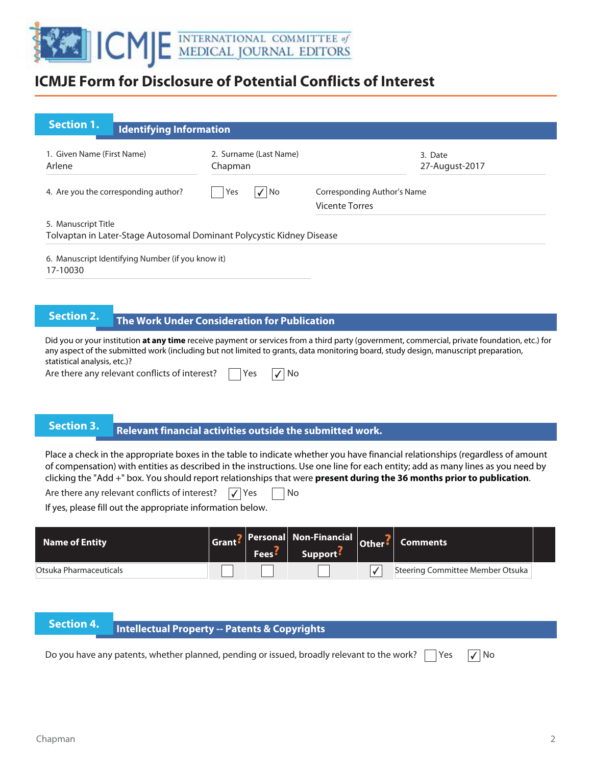

| <b>Section 1.</b>                    | <b>Identifying Information</b>                    |                                                                       |                                                      |
|--------------------------------------|---------------------------------------------------|-----------------------------------------------------------------------|------------------------------------------------------|
| 1. Given Name (First Name)<br>Arlene |                                                   | 2. Surname (Last Name)<br>Chapman                                     | 3. Date<br>27-August-2017                            |
| 4. Are you the corresponding author? |                                                   | Yes<br>  No<br>$\checkmark$                                           | Corresponding Author's Name<br><b>Vicente Torres</b> |
| 5. Manuscript Title                  |                                                   | Tolvaptan in Later-Stage Autosomal Dominant Polycystic Kidney Disease |                                                      |
| 17-10030                             | 6. Manuscript Identifying Number (if you know it) |                                                                       |                                                      |

**The Work Under Consideration for Publication** 

Did you or your institution **at any time** receive payment or services from a third party (government, commercial, private foundation, etc.) for any aspect of the submitted work (including but not limited to grants, data monitoring board, study design, manuscript preparation, statistical analysis, etc.)?

Are there any relevant conflicts of interest?  $\Box$  Yes  $\Box$  No

# **Relevant financial activities outside the submitted work. Section 3. Relevant financial activities outset**

Place a check in the appropriate boxes in the table to indicate whether you have financial relationships (regardless of amount of compensation) with entities as described in the instructions. Use one line for each entity; add as many lines as you need by clicking the "Add +" box. You should report relationships that were **present during the 36 months prior to publication**.

Are there any relevant conflicts of interest?  $\sqrt{\ }$  Yes  $\Box$  No

If yes, please fill out the appropriate information below.

| <b>Name of Entity</b>  | <b>Fees</b> | Grant? Personal Non-Financial Other? Comments<br>Support <sup>:</sup> |                                  |  |
|------------------------|-------------|-----------------------------------------------------------------------|----------------------------------|--|
| Otsuka Pharmaceuticals |             |                                                                       | Steering Committee Member Otsuka |  |

| <b>Section 4.</b> | Intellectual Property -- Patents & Copyrights                                                                       |  |
|-------------------|---------------------------------------------------------------------------------------------------------------------|--|
|                   | Do you have any patents, whether planned, pending or issued, broadly relevant to the work?     Yes $ \sqrt{\ } $ No |  |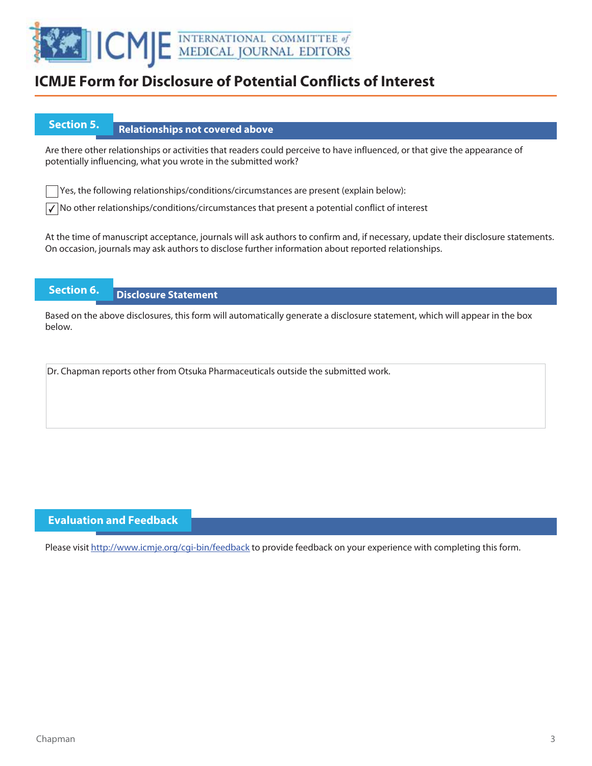

### **Section 5.** Relationships not covered above

Are there other relationships or activities that readers could perceive to have influenced, or that give the appearance of potentially influencing, what you wrote in the submitted work?

Yes, the following relationships/conditions/circumstances are present (explain below):

 $\sqrt{\ }$  No other relationships/conditions/circumstances that present a potential conflict of interest

At the time of manuscript acceptance, journals will ask authors to confirm and, if necessary, update their disclosure statements. On occasion, journals may ask authors to disclose further information about reported relationships.

### **Section 6. Disclosure Statement**

Based on the above disclosures, this form will automatically generate a disclosure statement, which will appear in the box below.

Dr. Chapman reports other from Otsuka Pharmaceuticals outside the submitted work.

### **Evaluation and Feedback**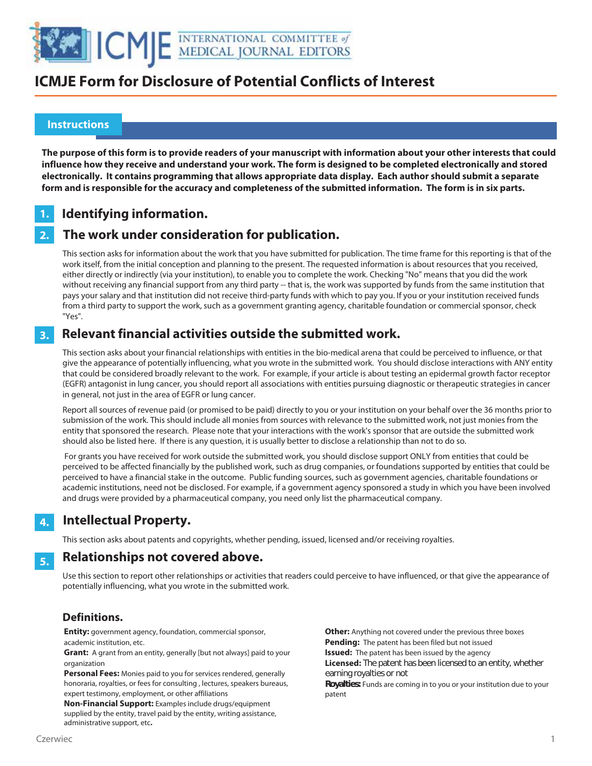

#### **Instructions**

 

> **The purpose of this form is to provide readers of your manuscript with information about your other interests that could influence how they receive and understand your work. The form is designed to be completed electronically and stored electronically. It contains programming that allows appropriate data display. Each author should submit a separate form and is responsible for the accuracy and completeness of the submitted information. The form is in six parts.**

#### **Identifying information. 1.**

#### **The work under consideration for publication. 2.**

This section asks for information about the work that you have submitted for publication. The time frame for this reporting is that of the work itself, from the initial conception and planning to the present. The requested information is about resources that you received, either directly or indirectly (via your institution), to enable you to complete the work. Checking "No" means that you did the work without receiving any financial support from any third party -- that is, the work was supported by funds from the same institution that pays your salary and that institution did not receive third-party funds with which to pay you. If you or your institution received funds from a third party to support the work, such as a government granting agency, charitable foundation or commercial sponsor, check "Yes".

#### **Relevant financial activities outside the submitted work. 3.**

This section asks about your financial relationships with entities in the bio-medical arena that could be perceived to influence, or that give the appearance of potentially influencing, what you wrote in the submitted work. You should disclose interactions with ANY entity that could be considered broadly relevant to the work. For example, if your article is about testing an epidermal growth factor receptor (EGFR) antagonist in lung cancer, you should report all associations with entities pursuing diagnostic or therapeutic strategies in cancer in general, not just in the area of EGFR or lung cancer.

Report all sources of revenue paid (or promised to be paid) directly to you or your institution on your behalf over the 36 months prior to submission of the work. This should include all monies from sources with relevance to the submitted work, not just monies from the entity that sponsored the research. Please note that your interactions with the work's sponsor that are outside the submitted work should also be listed here. If there is any question, it is usually better to disclose a relationship than not to do so.

 For grants you have received for work outside the submitted work, you should disclose support ONLY from entities that could be perceived to be affected financially by the published work, such as drug companies, or foundations supported by entities that could be perceived to have a financial stake in the outcome. Public funding sources, such as government agencies, charitable foundations or academic institutions, need not be disclosed. For example, if a government agency sponsored a study in which you have been involved and drugs were provided by a pharmaceutical company, you need only list the pharmaceutical company.

#### **Intellectual Property. 4.**

This section asks about patents and copyrights, whether pending, issued, licensed and/or receiving royalties.

#### **Relationships not covered above. 5.**

Use this section to report other relationships or activities that readers could perceive to have influenced, or that give the appearance of potentially influencing, what you wrote in the submitted work.

### **Definitions.**

**Entity:** government agency, foundation, commercial sponsor, academic institution, etc.

**Grant:** A grant from an entity, generally [but not always] paid to your organization

**Personal Fees:** Monies paid to you for services rendered, generally honoraria, royalties, or fees for consulting , lectures, speakers bureaus, expert testimony, employment, or other affiliations

**Non-Financial Support:** Examples include drugs/equipment supplied by the entity, travel paid by the entity, writing assistance, administrative support, etc**.**

**Other:** Anything not covered under the previous three boxes **Pending:** The patent has been filed but not issued **Issued:** The patent has been issued by the agency **Licensed:** The patent has been licensed to an entity, whether earning royalties or not **Royalties:** Funds are coming in to you or your institution due to your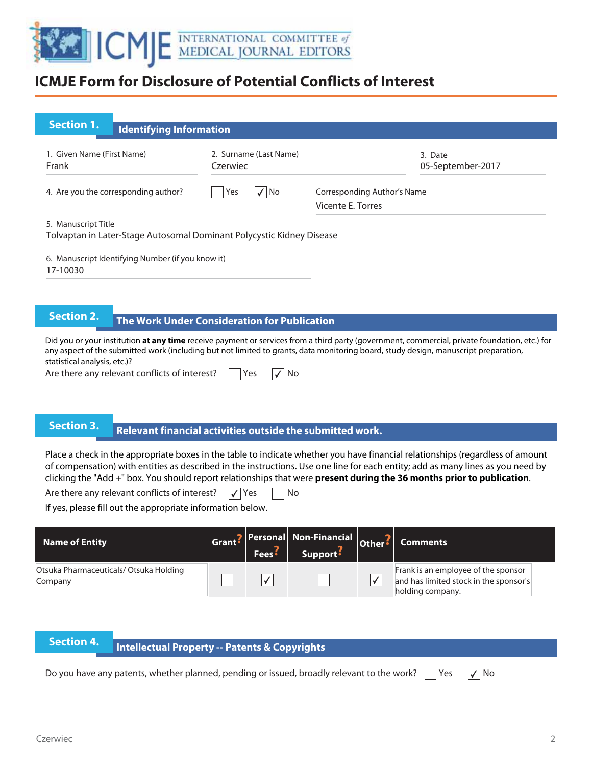

| <b>Section 1.</b>                               | <b>Identifying Information</b>                    |                                                                       |                                                  |
|-------------------------------------------------|---------------------------------------------------|-----------------------------------------------------------------------|--------------------------------------------------|
| 1. Given Name (First Name)<br>Frank<br>Czerwiec |                                                   | 2. Surname (Last Name)                                                | 3. Date<br>05-September-2017                     |
| 4. Are you the corresponding author?            |                                                   | $\sqrt{ N}$<br>Yes                                                    | Corresponding Author's Name<br>Vicente E. Torres |
| 5. Manuscript Title                             |                                                   | Tolvaptan in Later-Stage Autosomal Dominant Polycystic Kidney Disease |                                                  |
| 17-10030                                        | 6. Manuscript Identifying Number (if you know it) |                                                                       |                                                  |

**The Work Under Consideration for Publication** 

Did you or your institution **at any time** receive payment or services from a third party (government, commercial, private foundation, etc.) for any aspect of the submitted work (including but not limited to grants, data monitoring board, study design, manuscript preparation, statistical analysis, etc.)?

Are there any relevant conflicts of interest?  $\Box$  Yes  $\Box$  No

# **Relevant financial activities outside the submitted work. Section 3. Relevant financial activities outset**

Place a check in the appropriate boxes in the table to indicate whether you have financial relationships (regardless of amount of compensation) with entities as described in the instructions. Use one line for each entity; add as many lines as you need by clicking the "Add +" box. You should report relationships that were **present during the 36 months prior to publication**.

Are there any relevant conflicts of interest?  $\sqrt{\ }$  Yes  $\Box$  No

If yes, please fill out the appropriate information below.

| Name of Entity                                   | <b>Fees</b> | Grant? Personal Non-Financial Other?<br>Support <sup>:</sup> | <b>Comments</b>                                                                                   |  |
|--------------------------------------------------|-------------|--------------------------------------------------------------|---------------------------------------------------------------------------------------------------|--|
| Otsuka Pharmaceuticals/Otsuka Holding<br>Company |             |                                                              | Frank is an employee of the sponsor<br>and has limited stock in the sponsor's<br>holding company. |  |

**Intellectual Property -- Patents & Copyrights**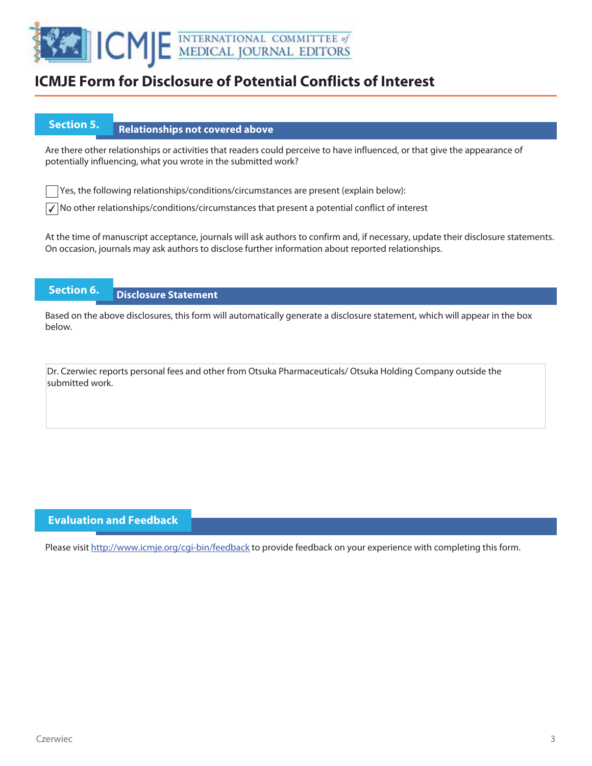

### **Section 5.** Relationships not covered above

Are there other relationships or activities that readers could perceive to have influenced, or that give the appearance of potentially influencing, what you wrote in the submitted work?

Yes, the following relationships/conditions/circumstances are present (explain below):

 $\sqrt{\ }$  No other relationships/conditions/circumstances that present a potential conflict of interest

At the time of manuscript acceptance, journals will ask authors to confirm and, if necessary, update their disclosure statements. On occasion, journals may ask authors to disclose further information about reported relationships.

### **Section 6. Disclosure Statement**

Based on the above disclosures, this form will automatically generate a disclosure statement, which will appear in the box below.

Dr. Czerwiec reports personal fees and other from Otsuka Pharmaceuticals/ Otsuka Holding Company outside the submitted work.

### **Evaluation and Feedback**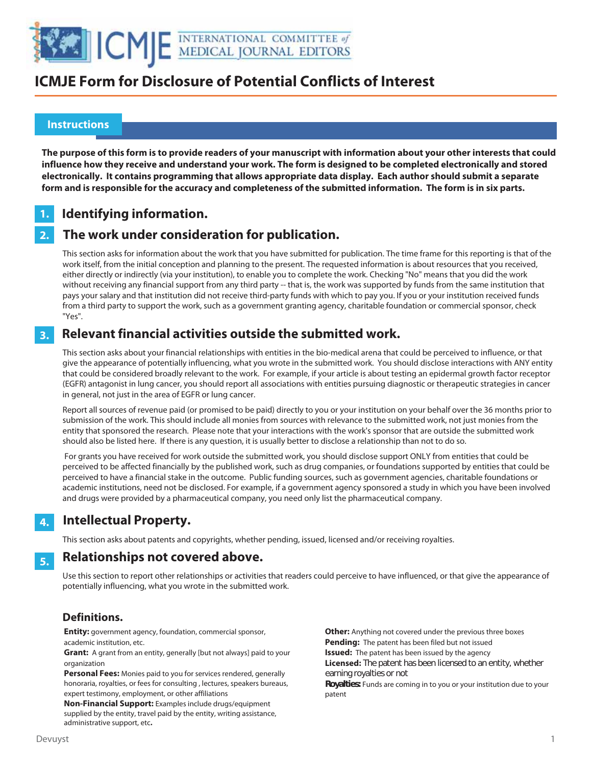

#### **Instructions**

 

> **The purpose of this form is to provide readers of your manuscript with information about your other interests that could influence how they receive and understand your work. The form is designed to be completed electronically and stored electronically. It contains programming that allows appropriate data display. Each author should submit a separate form and is responsible for the accuracy and completeness of the submitted information. The form is in six parts.**

#### **Identifying information. 1.**

#### **The work under consideration for publication. 2.**

This section asks for information about the work that you have submitted for publication. The time frame for this reporting is that of the work itself, from the initial conception and planning to the present. The requested information is about resources that you received, either directly or indirectly (via your institution), to enable you to complete the work. Checking "No" means that you did the work without receiving any financial support from any third party -- that is, the work was supported by funds from the same institution that pays your salary and that institution did not receive third-party funds with which to pay you. If you or your institution received funds from a third party to support the work, such as a government granting agency, charitable foundation or commercial sponsor, check "Yes".

#### **Relevant financial activities outside the submitted work. 3.**

This section asks about your financial relationships with entities in the bio-medical arena that could be perceived to influence, or that give the appearance of potentially influencing, what you wrote in the submitted work. You should disclose interactions with ANY entity that could be considered broadly relevant to the work. For example, if your article is about testing an epidermal growth factor receptor (EGFR) antagonist in lung cancer, you should report all associations with entities pursuing diagnostic or therapeutic strategies in cancer in general, not just in the area of EGFR or lung cancer.

Report all sources of revenue paid (or promised to be paid) directly to you or your institution on your behalf over the 36 months prior to submission of the work. This should include all monies from sources with relevance to the submitted work, not just monies from the entity that sponsored the research. Please note that your interactions with the work's sponsor that are outside the submitted work should also be listed here. If there is any question, it is usually better to disclose a relationship than not to do so.

 For grants you have received for work outside the submitted work, you should disclose support ONLY from entities that could be perceived to be affected financially by the published work, such as drug companies, or foundations supported by entities that could be perceived to have a financial stake in the outcome. Public funding sources, such as government agencies, charitable foundations or academic institutions, need not be disclosed. For example, if a government agency sponsored a study in which you have been involved and drugs were provided by a pharmaceutical company, you need only list the pharmaceutical company.

#### **Intellectual Property. 4.**

This section asks about patents and copyrights, whether pending, issued, licensed and/or receiving royalties.

#### **Relationships not covered above. 5.**

Use this section to report other relationships or activities that readers could perceive to have influenced, or that give the appearance of potentially influencing, what you wrote in the submitted work.

### **Definitions.**

**Entity:** government agency, foundation, commercial sponsor, academic institution, etc.

**Grant:** A grant from an entity, generally [but not always] paid to your organization

**Personal Fees:** Monies paid to you for services rendered, generally honoraria, royalties, or fees for consulting , lectures, speakers bureaus, expert testimony, employment, or other affiliations

**Non-Financial Support:** Examples include drugs/equipment supplied by the entity, travel paid by the entity, writing assistance, administrative support, etc**.**

**Other:** Anything not covered under the previous three boxes **Pending:** The patent has been filed but not issued **Issued:** The patent has been issued by the agency **Licensed:** The patent has been licensed to an entity, whether earning royalties or not **Royalties:** Funds are coming in to you or your institution due to your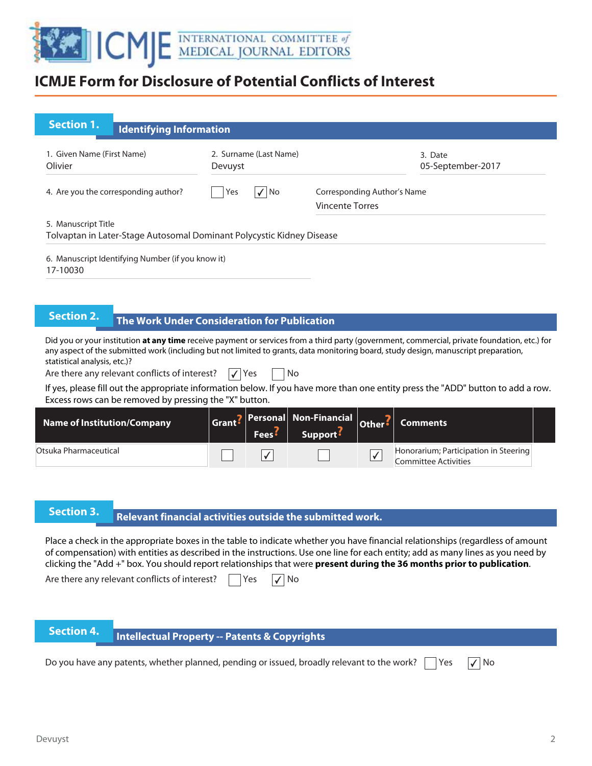

| <b>Section 1.</b>                     | <b>Identifying Information</b>                    |                                                                       |                                                       |
|---------------------------------------|---------------------------------------------------|-----------------------------------------------------------------------|-------------------------------------------------------|
| 1. Given Name (First Name)<br>Olivier |                                                   | 2. Surname (Last Name)<br>Devuyst                                     | 3. Date<br>05-September-2017                          |
| 4. Are you the corresponding author?  |                                                   | Yes<br>  No<br>✓                                                      | Corresponding Author's Name<br><b>Vincente Torres</b> |
| 5. Manuscript Title                   |                                                   | Tolvaptan in Later-Stage Autosomal Dominant Polycystic Kidney Disease |                                                       |
| 17-10030                              | 6. Manuscript Identifying Number (if you know it) |                                                                       |                                                       |
|                                       |                                                   |                                                                       |                                                       |
| <b>Section 2.</b>                     |                                                   | The Work Under Consideration for Publication                          |                                                       |

Did you or your institution **at any time** receive payment or services from a third party (government, commercial, private foundation, etc.) for any aspect of the submitted work (including but not limited to grants, data monitoring board, study design, manuscript preparation, statistical analysis, etc.)?

Are there any relevant conflicts of interest?  $\Box$  Yes  $\Box$  No

If yes, please fill out the appropriate information below. If you have more than one entity press the "ADD" button to add a row. Excess rows can be removed by pressing the "X" button.

| <b>Name of Institution/Company</b> | Fees <sup>5</sup> | Grant? Personal Non-Financial Other?<br>Support <sup>5</sup> | <b>Comments</b>                                               |  |
|------------------------------------|-------------------|--------------------------------------------------------------|---------------------------------------------------------------|--|
| Otsuka Pharmaceutical              |                   |                                                              | Honorarium; Participation in Steering<br>Committee Activities |  |

**Relevant financial activities outside the submitted work. Section 3. Relevant financial activities outset** 

Place a check in the appropriate boxes in the table to indicate whether you have financial relationships (regardless of amount of compensation) with entities as described in the instructions. Use one line for each entity; add as many lines as you need by clicking the "Add +" box. You should report relationships that were **present during the 36 months prior to publication**.

Are there any relevant conflicts of interest?  $\vert \vert$  Yes  $\vert \sqrt{\vert N}$ 

# **Intellectual Property -- Patents & Copyrights**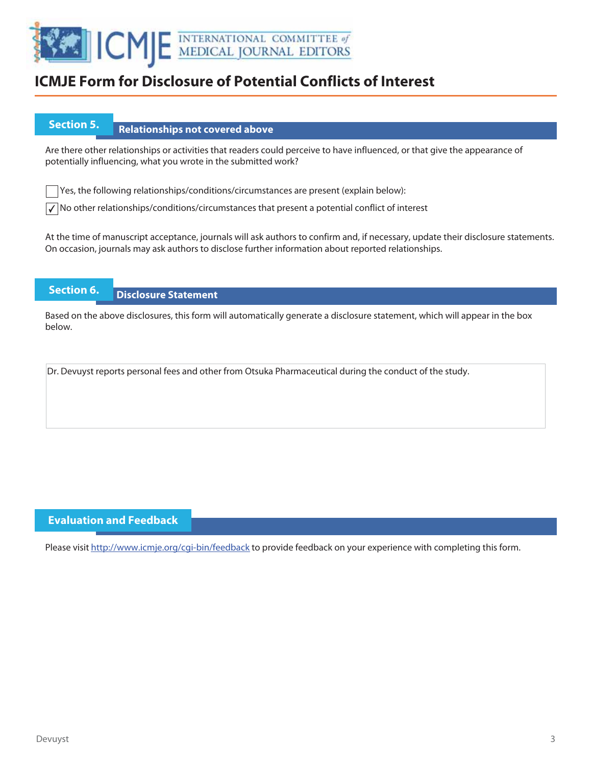

### **Section 5.** Relationships not covered above

Are there other relationships or activities that readers could perceive to have influenced, or that give the appearance of potentially influencing, what you wrote in the submitted work?

Yes, the following relationships/conditions/circumstances are present (explain below):

 $\sqrt{\ }$  No other relationships/conditions/circumstances that present a potential conflict of interest

At the time of manuscript acceptance, journals will ask authors to confirm and, if necessary, update their disclosure statements. On occasion, journals may ask authors to disclose further information about reported relationships.

### **Section 6. Disclosure Statement**

Based on the above disclosures, this form will automatically generate a disclosure statement, which will appear in the box below.

Dr. Devuyst reports personal fees and other from Otsuka Pharmaceutical during the conduct of the study.

### **Evaluation and Feedback**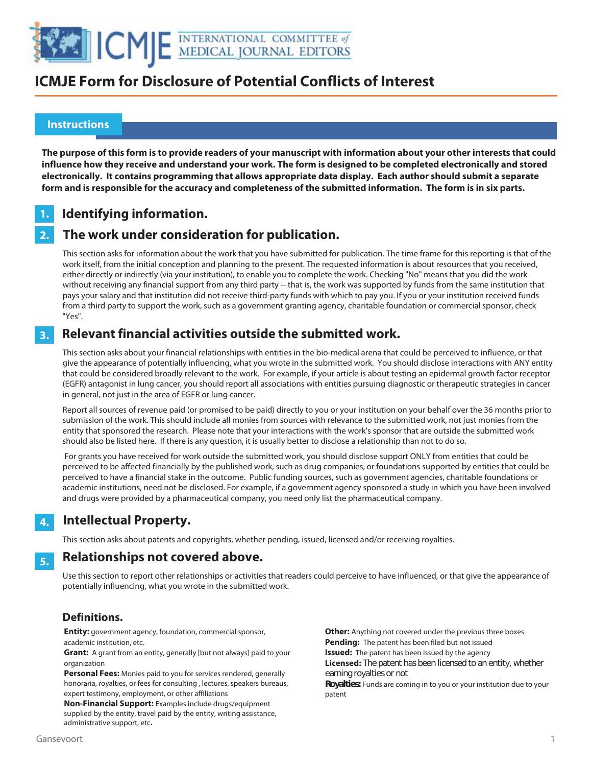

#### **Instructions**

 

> **The purpose of this form is to provide readers of your manuscript with information about your other interests that could influence how they receive and understand your work. The form is designed to be completed electronically and stored electronically. It contains programming that allows appropriate data display. Each author should submit a separate form and is responsible for the accuracy and completeness of the submitted information. The form is in six parts.**

#### **Identifying information. 1.**

#### **The work under consideration for publication. 2.**

This section asks for information about the work that you have submitted for publication. The time frame for this reporting is that of the work itself, from the initial conception and planning to the present. The requested information is about resources that you received, either directly or indirectly (via your institution), to enable you to complete the work. Checking "No" means that you did the work without receiving any financial support from any third party -- that is, the work was supported by funds from the same institution that pays your salary and that institution did not receive third-party funds with which to pay you. If you or your institution received funds from a third party to support the work, such as a government granting agency, charitable foundation or commercial sponsor, check "Yes".

#### **Relevant financial activities outside the submitted work. 3.**

This section asks about your financial relationships with entities in the bio-medical arena that could be perceived to influence, or that give the appearance of potentially influencing, what you wrote in the submitted work. You should disclose interactions with ANY entity that could be considered broadly relevant to the work. For example, if your article is about testing an epidermal growth factor receptor (EGFR) antagonist in lung cancer, you should report all associations with entities pursuing diagnostic or therapeutic strategies in cancer in general, not just in the area of EGFR or lung cancer.

Report all sources of revenue paid (or promised to be paid) directly to you or your institution on your behalf over the 36 months prior to submission of the work. This should include all monies from sources with relevance to the submitted work, not just monies from the entity that sponsored the research. Please note that your interactions with the work's sponsor that are outside the submitted work should also be listed here. If there is any question, it is usually better to disclose a relationship than not to do so.

 For grants you have received for work outside the submitted work, you should disclose support ONLY from entities that could be perceived to be affected financially by the published work, such as drug companies, or foundations supported by entities that could be perceived to have a financial stake in the outcome. Public funding sources, such as government agencies, charitable foundations or academic institutions, need not be disclosed. For example, if a government agency sponsored a study in which you have been involved and drugs were provided by a pharmaceutical company, you need only list the pharmaceutical company.

#### **Intellectual Property. 4.**

This section asks about patents and copyrights, whether pending, issued, licensed and/or receiving royalties.

#### **Relationships not covered above. 5.**

Use this section to report other relationships or activities that readers could perceive to have influenced, or that give the appearance of potentially influencing, what you wrote in the submitted work.

### **Definitions.**

**Entity:** government agency, foundation, commercial sponsor, academic institution, etc.

**Grant:** A grant from an entity, generally [but not always] paid to your organization

**Personal Fees:** Monies paid to you for services rendered, generally honoraria, royalties, or fees for consulting , lectures, speakers bureaus, expert testimony, employment, or other affiliations

**Non-Financial Support:** Examples include drugs/equipment supplied by the entity, travel paid by the entity, writing assistance, administrative support, etc**.**

**Other:** Anything not covered under the previous three boxes **Pending:** The patent has been filed but not issued **Issued:** The patent has been issued by the agency **Licensed:** The patent has been licensed to an entity, whether earning royalties or not **Royalties:** Funds are coming in to you or your institution due to your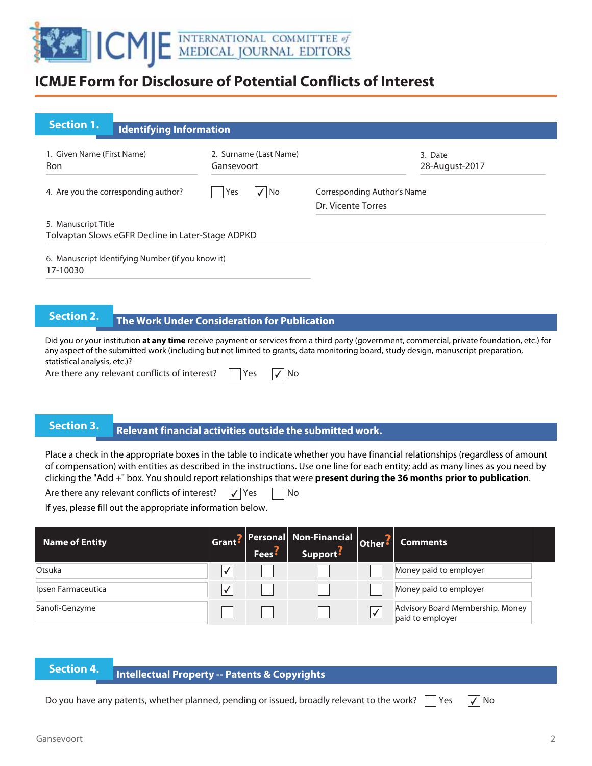

| <b>Section 1.</b>                    | <b>Identifying Information</b>                    |                                      |                                                   |  |  |  |  |  |
|--------------------------------------|---------------------------------------------------|--------------------------------------|---------------------------------------------------|--|--|--|--|--|
| 1. Given Name (First Name)<br>Ron    |                                                   | 2. Surname (Last Name)<br>Gansevoort | 3. Date<br>28-August-2017                         |  |  |  |  |  |
| 4. Are you the corresponding author? |                                                   | $\sqrt{ N_{0}}$<br>Yes               | Corresponding Author's Name<br>Dr. Vicente Torres |  |  |  |  |  |
| 5. Manuscript Title                  | Tolvaptan Slows eGFR Decline in Later-Stage ADPKD |                                      |                                                   |  |  |  |  |  |
| 17-10030                             | 6. Manuscript Identifying Number (if you know it) |                                      |                                                   |  |  |  |  |  |

**The Work Under Consideration for Publication** 

Did you or your institution **at any time** receive payment or services from a third party (government, commercial, private foundation, etc.) for any aspect of the submitted work (including but not limited to grants, data monitoring board, study design, manuscript preparation, statistical analysis, etc.)?

Are there any relevant conflicts of interest?  $\Box$  Yes  $\Box$  No

# **Relevant financial activities outside the submitted work. Section 3. Relevant financial activities outset**

Place a check in the appropriate boxes in the table to indicate whether you have financial relationships (regardless of amount of compensation) with entities as described in the instructions. Use one line for each entity; add as many lines as you need by clicking the "Add +" box. You should report relationships that were **present during the 36 months prior to publication**.

Are there any relevant conflicts of interest?  $\sqrt{\ }$  Yes  $\Box$  No

If yes, please fill out the appropriate information below.

| <b>Name of Entity</b> | <b>Fees</b> | Grant? Personal Non-Financial Other?<br>Support <sup>:</sup> | <b>Comments</b>                                      |  |
|-----------------------|-------------|--------------------------------------------------------------|------------------------------------------------------|--|
| Otsuka                |             |                                                              | Money paid to employer                               |  |
| Ipsen Farmaceutica    |             |                                                              | Money paid to employer                               |  |
| Sanofi-Genzyme        |             |                                                              | Advisory Board Membership. Money<br>paid to employer |  |

### **Intellectual Property -- Patents & Copyrights**

Do you have any patents, whether planned, pending or issued, broadly relevant to the work?  $\vert \ \vert$  Yes  $\vert \ \vert$  No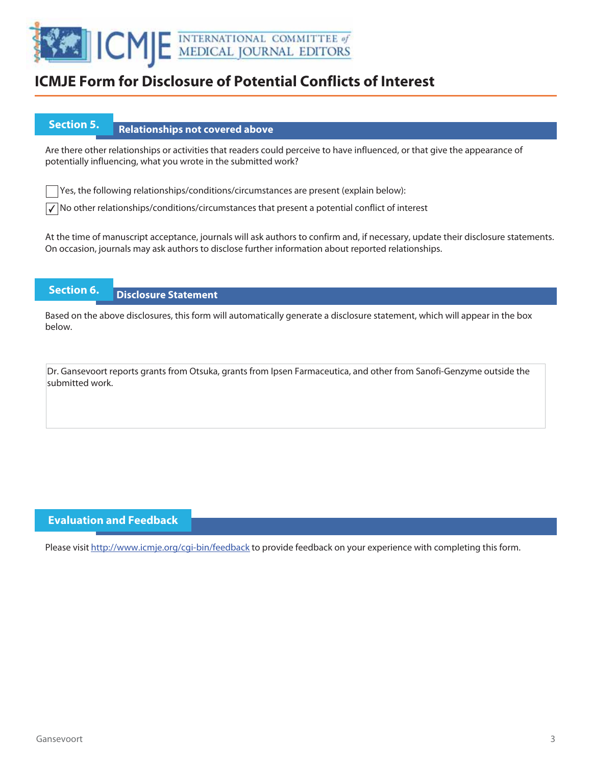

### **Section 5.** Relationships not covered above

Are there other relationships or activities that readers could perceive to have influenced, or that give the appearance of potentially influencing, what you wrote in the submitted work?

Yes, the following relationships/conditions/circumstances are present (explain below):

 $\sqrt{\ }$  No other relationships/conditions/circumstances that present a potential conflict of interest

At the time of manuscript acceptance, journals will ask authors to confirm and, if necessary, update their disclosure statements. On occasion, journals may ask authors to disclose further information about reported relationships.

### **Section 6. Disclosure Statement**

Based on the above disclosures, this form will automatically generate a disclosure statement, which will appear in the box below.

Dr. Gansevoort reports grants from Otsuka, grants from Ipsen Farmaceutica, and other from Sanofi-Genzyme outside the submitted work.

### **Evaluation and Feedback**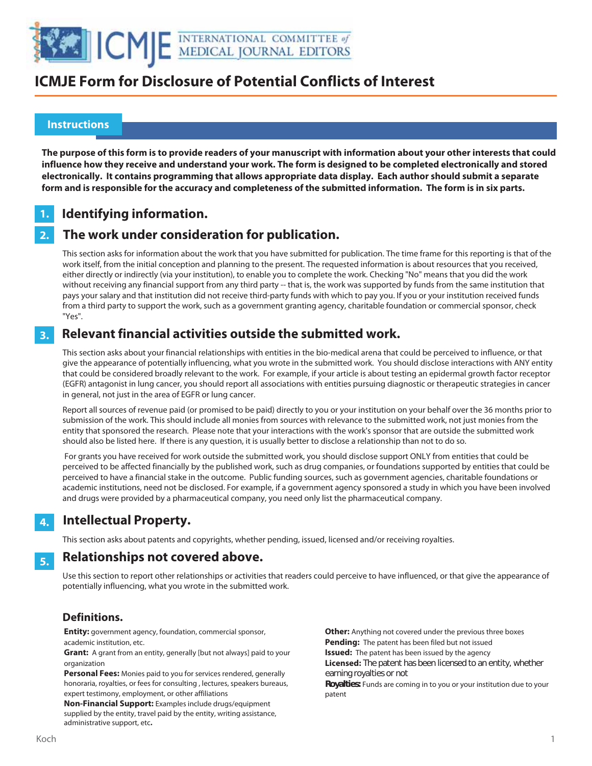

#### **Instructions**

 

> **The purpose of this form is to provide readers of your manuscript with information about your other interests that could influence how they receive and understand your work. The form is designed to be completed electronically and stored electronically. It contains programming that allows appropriate data display. Each author should submit a separate form and is responsible for the accuracy and completeness of the submitted information. The form is in six parts.**

#### **Identifying information. 1.**

#### **The work under consideration for publication. 2.**

This section asks for information about the work that you have submitted for publication. The time frame for this reporting is that of the work itself, from the initial conception and planning to the present. The requested information is about resources that you received, either directly or indirectly (via your institution), to enable you to complete the work. Checking "No" means that you did the work without receiving any financial support from any third party -- that is, the work was supported by funds from the same institution that pays your salary and that institution did not receive third-party funds with which to pay you. If you or your institution received funds from a third party to support the work, such as a government granting agency, charitable foundation or commercial sponsor, check "Yes".

#### **Relevant financial activities outside the submitted work. 3.**

This section asks about your financial relationships with entities in the bio-medical arena that could be perceived to influence, or that give the appearance of potentially influencing, what you wrote in the submitted work. You should disclose interactions with ANY entity that could be considered broadly relevant to the work. For example, if your article is about testing an epidermal growth factor receptor (EGFR) antagonist in lung cancer, you should report all associations with entities pursuing diagnostic or therapeutic strategies in cancer in general, not just in the area of EGFR or lung cancer.

Report all sources of revenue paid (or promised to be paid) directly to you or your institution on your behalf over the 36 months prior to submission of the work. This should include all monies from sources with relevance to the submitted work, not just monies from the entity that sponsored the research. Please note that your interactions with the work's sponsor that are outside the submitted work should also be listed here. If there is any question, it is usually better to disclose a relationship than not to do so.

 For grants you have received for work outside the submitted work, you should disclose support ONLY from entities that could be perceived to be affected financially by the published work, such as drug companies, or foundations supported by entities that could be perceived to have a financial stake in the outcome. Public funding sources, such as government agencies, charitable foundations or academic institutions, need not be disclosed. For example, if a government agency sponsored a study in which you have been involved and drugs were provided by a pharmaceutical company, you need only list the pharmaceutical company.

#### **Intellectual Property. 4.**

This section asks about patents and copyrights, whether pending, issued, licensed and/or receiving royalties.

#### **Relationships not covered above. 5.**

Use this section to report other relationships or activities that readers could perceive to have influenced, or that give the appearance of potentially influencing, what you wrote in the submitted work.

### **Definitions.**

**Entity:** government agency, foundation, commercial sponsor, academic institution, etc.

**Grant:** A grant from an entity, generally [but not always] paid to your organization

**Personal Fees:** Monies paid to you for services rendered, generally honoraria, royalties, or fees for consulting , lectures, speakers bureaus, expert testimony, employment, or other affiliations

**Non-Financial Support:** Examples include drugs/equipment supplied by the entity, travel paid by the entity, writing assistance, administrative support, etc**.**

**Other:** Anything not covered under the previous three boxes **Pending:** The patent has been filed but not issued **Issued:** The patent has been issued by the agency **Licensed:** The patent has been licensed to an entity, whether earning royalties or not **Royalties:** Funds are coming in to you or your institution due to your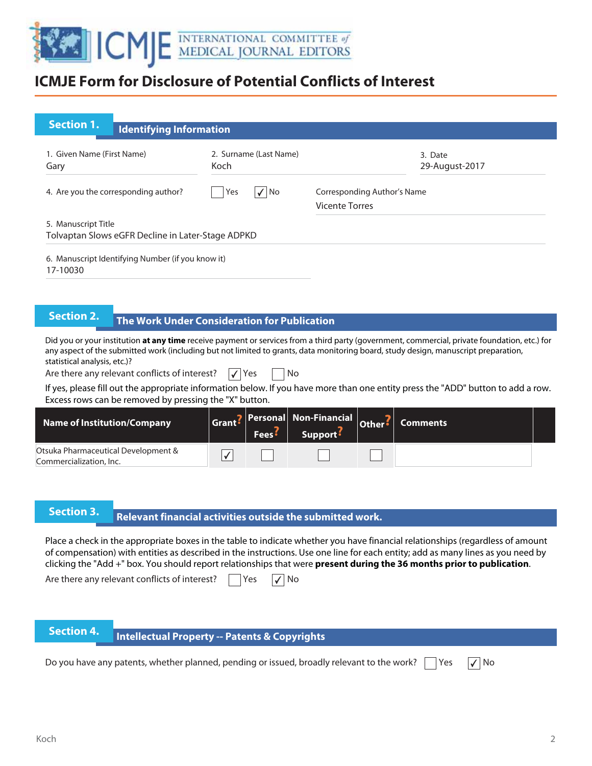

| <b>Section 1.</b>                    | <b>Identifying Information</b>                    |                                |                                                      |                           |
|--------------------------------------|---------------------------------------------------|--------------------------------|------------------------------------------------------|---------------------------|
| 1. Given Name (First Name)<br>Gary   |                                                   | 2. Surname (Last Name)<br>Koch |                                                      | 3. Date<br>29-August-2017 |
| 4. Are you the corresponding author? |                                                   | $\sqrt{ N_{0}}$<br>Yes         | Corresponding Author's Name<br><b>Vicente Torres</b> |                           |
| 5. Manuscript Title                  | Tolvaptan Slows eGFR Decline in Later-Stage ADPKD |                                |                                                      |                           |
|                                      | 6. Manuscript Identifying Number (if you know it) |                                |                                                      |                           |

17-10030

### **The Work Under Consideration for Publication**

Did you or your institution **at any time** receive payment or services from a third party (government, commercial, private foundation, etc.) for any aspect of the submitted work (including but not limited to grants, data monitoring board, study design, manuscript preparation, statistical analysis, etc.)?

Are there any relevant conflicts of interest?  $\Box$  Yes  $\Box$  No

If yes, please fill out the appropriate information below. If you have more than one entity press the "ADD" button to add a row. Excess rows can be removed by pressing the "X" button.

| <b>Name of Institution/Company</b>                             | Fees <sup>5</sup> | Grant? Personal Non-Financial Other? Comments<br>Support <sup>:</sup> |  |  |
|----------------------------------------------------------------|-------------------|-----------------------------------------------------------------------|--|--|
| Otsuka Pharmaceutical Development &<br>Commercialization, Inc. |                   |                                                                       |  |  |

**Relevant financial activities outside the submitted work. Section 3. Relevant financial activities outset** 

Place a check in the appropriate boxes in the table to indicate whether you have financial relationships (regardless of amount of compensation) with entities as described in the instructions. Use one line for each entity; add as many lines as you need by clicking the "Add +" box. You should report relationships that were **present during the 36 months prior to publication**.

Are there any relevant conflicts of interest?  $\Box$  Yes  $\Box$  No

# **Intellectual Property -- Patents & Copyrights**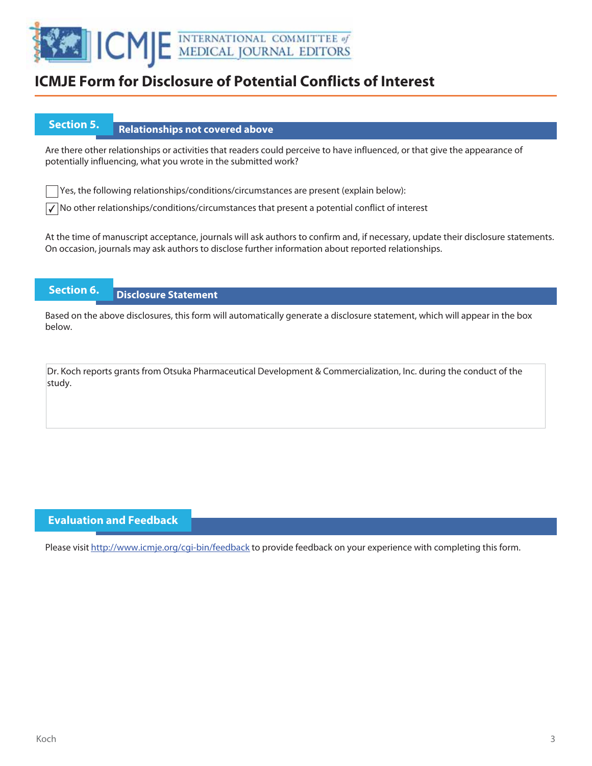

### **Section 5.** Relationships not covered above

Are there other relationships or activities that readers could perceive to have influenced, or that give the appearance of potentially influencing, what you wrote in the submitted work?

Yes, the following relationships/conditions/circumstances are present (explain below):

 $\sqrt{\ }$  No other relationships/conditions/circumstances that present a potential conflict of interest

At the time of manuscript acceptance, journals will ask authors to confirm and, if necessary, update their disclosure statements. On occasion, journals may ask authors to disclose further information about reported relationships.

### **Section 6. Disclosure Statement**

Based on the above disclosures, this form will automatically generate a disclosure statement, which will appear in the box below.

Dr. Koch reports grants from Otsuka Pharmaceutical Development & Commercialization, Inc. during the conduct of the study.

### **Evaluation and Feedback**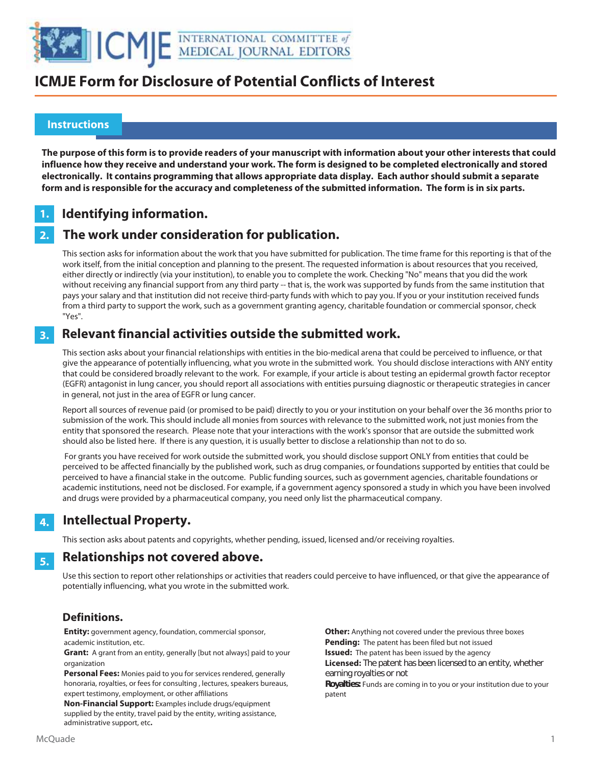

#### **Instructions**

 

> **The purpose of this form is to provide readers of your manuscript with information about your other interests that could influence how they receive and understand your work. The form is designed to be completed electronically and stored electronically. It contains programming that allows appropriate data display. Each author should submit a separate form and is responsible for the accuracy and completeness of the submitted information. The form is in six parts.**

#### **Identifying information. 1.**

#### **The work under consideration for publication. 2.**

This section asks for information about the work that you have submitted for publication. The time frame for this reporting is that of the work itself, from the initial conception and planning to the present. The requested information is about resources that you received, either directly or indirectly (via your institution), to enable you to complete the work. Checking "No" means that you did the work without receiving any financial support from any third party -- that is, the work was supported by funds from the same institution that pays your salary and that institution did not receive third-party funds with which to pay you. If you or your institution received funds from a third party to support the work, such as a government granting agency, charitable foundation or commercial sponsor, check "Yes".

#### **Relevant financial activities outside the submitted work. 3.**

This section asks about your financial relationships with entities in the bio-medical arena that could be perceived to influence, or that give the appearance of potentially influencing, what you wrote in the submitted work. You should disclose interactions with ANY entity that could be considered broadly relevant to the work. For example, if your article is about testing an epidermal growth factor receptor (EGFR) antagonist in lung cancer, you should report all associations with entities pursuing diagnostic or therapeutic strategies in cancer in general, not just in the area of EGFR or lung cancer.

Report all sources of revenue paid (or promised to be paid) directly to you or your institution on your behalf over the 36 months prior to submission of the work. This should include all monies from sources with relevance to the submitted work, not just monies from the entity that sponsored the research. Please note that your interactions with the work's sponsor that are outside the submitted work should also be listed here. If there is any question, it is usually better to disclose a relationship than not to do so.

 For grants you have received for work outside the submitted work, you should disclose support ONLY from entities that could be perceived to be affected financially by the published work, such as drug companies, or foundations supported by entities that could be perceived to have a financial stake in the outcome. Public funding sources, such as government agencies, charitable foundations or academic institutions, need not be disclosed. For example, if a government agency sponsored a study in which you have been involved and drugs were provided by a pharmaceutical company, you need only list the pharmaceutical company.

#### **Intellectual Property. 4.**

This section asks about patents and copyrights, whether pending, issued, licensed and/or receiving royalties.

#### **Relationships not covered above. 5.**

Use this section to report other relationships or activities that readers could perceive to have influenced, or that give the appearance of potentially influencing, what you wrote in the submitted work.

### **Definitions.**

**Entity:** government agency, foundation, commercial sponsor, academic institution, etc.

**Grant:** A grant from an entity, generally [but not always] paid to your organization

**Personal Fees:** Monies paid to you for services rendered, generally honoraria, royalties, or fees for consulting , lectures, speakers bureaus, expert testimony, employment, or other affiliations

**Non-Financial Support:** Examples include drugs/equipment supplied by the entity, travel paid by the entity, writing assistance, administrative support, etc**.**

**Other:** Anything not covered under the previous three boxes **Pending:** The patent has been filed but not issued **Issued:** The patent has been issued by the agency **Licensed:** The patent has been licensed to an entity, whether earning royalties or not **Royalties:** Funds are coming in to you or your institution due to your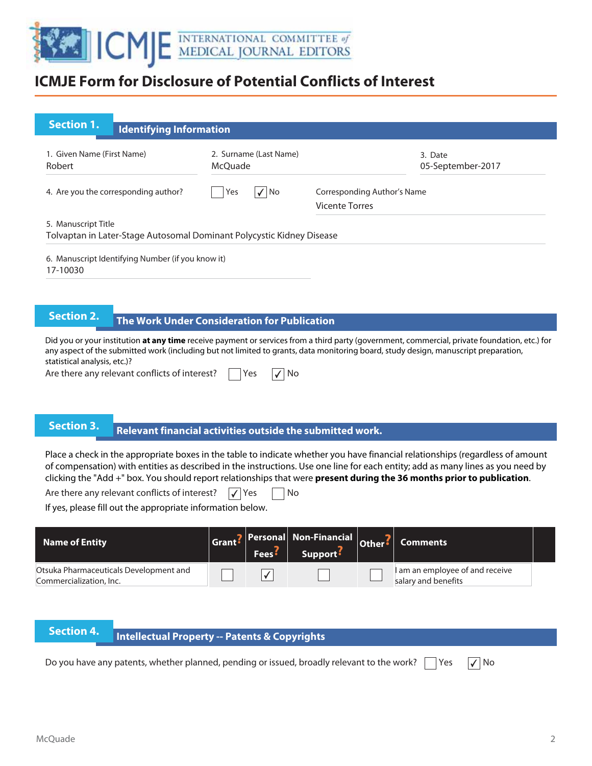

| <b>Section 1.</b>                    | <b>Identifying Information</b>                    |                                                                       |                                                      |
|--------------------------------------|---------------------------------------------------|-----------------------------------------------------------------------|------------------------------------------------------|
| 1. Given Name (First Name)<br>Robert |                                                   | 2. Surname (Last Name)<br>McOuade                                     | 3. Date<br>05-September-2017                         |
| 4. Are you the corresponding author? |                                                   | Yes<br>$\sqrt{ N}$                                                    | Corresponding Author's Name<br><b>Vicente Torres</b> |
| 5. Manuscript Title                  |                                                   | Tolvaptan in Later-Stage Autosomal Dominant Polycystic Kidney Disease |                                                      |
| 17-10030                             | 6. Manuscript Identifying Number (if you know it) |                                                                       |                                                      |

**The Work Under Consideration for Publication** 

Did you or your institution **at any time** receive payment or services from a third party (government, commercial, private foundation, etc.) for any aspect of the submitted work (including but not limited to grants, data monitoring board, study design, manuscript preparation, statistical analysis, etc.)?

Are there any relevant conflicts of interest?  $\Box$  Yes  $\Box$  No

# **Relevant financial activities outside the submitted work. Section 3. Relevant financial activities outset**

Place a check in the appropriate boxes in the table to indicate whether you have financial relationships (regardless of amount of compensation) with entities as described in the instructions. Use one line for each entity; add as many lines as you need by clicking the "Add +" box. You should report relationships that were **present during the 36 months prior to publication**.

Are there any relevant conflicts of interest?  $\sqrt{\ }$  Yes  $\Box$  No

If yes, please fill out the appropriate information below.

| <b>Name of Entity</b>                                             | <b>Fees</b> | Grant? Personal Non-Financial Other?<br>Support: | <b>Comments</b>                                        |  |
|-------------------------------------------------------------------|-------------|--------------------------------------------------|--------------------------------------------------------|--|
| Otsuka Pharmaceuticals Development and<br>Commercialization, Inc. |             |                                                  | I am an employee of and receive<br>salary and benefits |  |

**Intellectual Property -- Patents & Copyrights**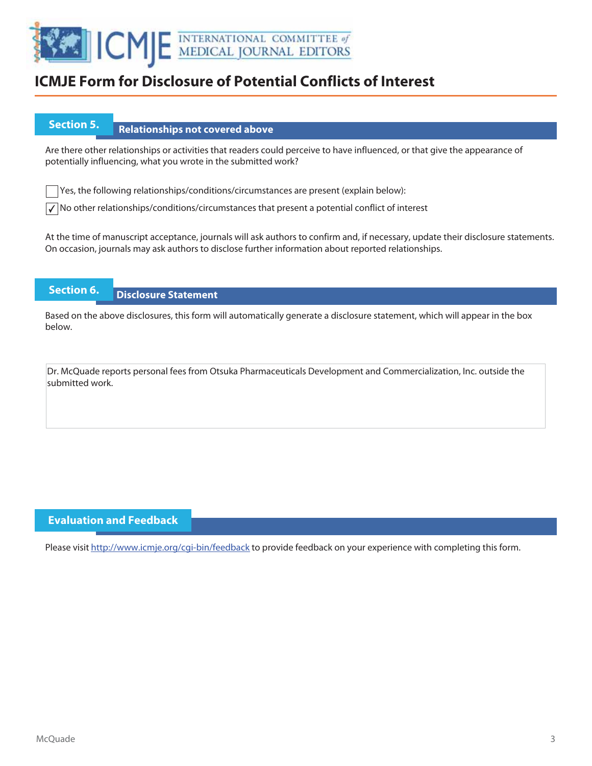

### **Section 5.** Relationships not covered above

Are there other relationships or activities that readers could perceive to have influenced, or that give the appearance of potentially influencing, what you wrote in the submitted work?

Yes, the following relationships/conditions/circumstances are present (explain below):

 $\sqrt{\ }$  No other relationships/conditions/circumstances that present a potential conflict of interest

At the time of manuscript acceptance, journals will ask authors to confirm and, if necessary, update their disclosure statements. On occasion, journals may ask authors to disclose further information about reported relationships.

### **Section 6. Disclosure Statement**

Based on the above disclosures, this form will automatically generate a disclosure statement, which will appear in the box below.

Dr. McQuade reports personal fees from Otsuka Pharmaceuticals Development and Commercialization, Inc. outside the submitted work.

### **Evaluation and Feedback**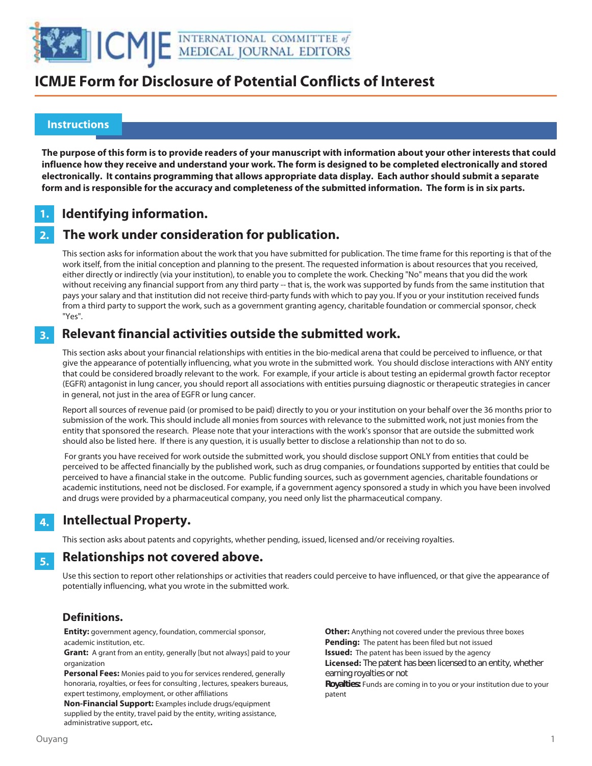

#### **Instructions**

 

> **The purpose of this form is to provide readers of your manuscript with information about your other interests that could influence how they receive and understand your work. The form is designed to be completed electronically and stored electronically. It contains programming that allows appropriate data display. Each author should submit a separate form and is responsible for the accuracy and completeness of the submitted information. The form is in six parts.**

#### **Identifying information. 1.**

#### **The work under consideration for publication. 2.**

This section asks for information about the work that you have submitted for publication. The time frame for this reporting is that of the work itself, from the initial conception and planning to the present. The requested information is about resources that you received, either directly or indirectly (via your institution), to enable you to complete the work. Checking "No" means that you did the work without receiving any financial support from any third party -- that is, the work was supported by funds from the same institution that pays your salary and that institution did not receive third-party funds with which to pay you. If you or your institution received funds from a third party to support the work, such as a government granting agency, charitable foundation or commercial sponsor, check "Yes".

#### **Relevant financial activities outside the submitted work. 3.**

This section asks about your financial relationships with entities in the bio-medical arena that could be perceived to influence, or that give the appearance of potentially influencing, what you wrote in the submitted work. You should disclose interactions with ANY entity that could be considered broadly relevant to the work. For example, if your article is about testing an epidermal growth factor receptor (EGFR) antagonist in lung cancer, you should report all associations with entities pursuing diagnostic or therapeutic strategies in cancer in general, not just in the area of EGFR or lung cancer.

Report all sources of revenue paid (or promised to be paid) directly to you or your institution on your behalf over the 36 months prior to submission of the work. This should include all monies from sources with relevance to the submitted work, not just monies from the entity that sponsored the research. Please note that your interactions with the work's sponsor that are outside the submitted work should also be listed here. If there is any question, it is usually better to disclose a relationship than not to do so.

 For grants you have received for work outside the submitted work, you should disclose support ONLY from entities that could be perceived to be affected financially by the published work, such as drug companies, or foundations supported by entities that could be perceived to have a financial stake in the outcome. Public funding sources, such as government agencies, charitable foundations or academic institutions, need not be disclosed. For example, if a government agency sponsored a study in which you have been involved and drugs were provided by a pharmaceutical company, you need only list the pharmaceutical company.

#### **Intellectual Property. 4.**

This section asks about patents and copyrights, whether pending, issued, licensed and/or receiving royalties.

#### **Relationships not covered above. 5.**

Use this section to report other relationships or activities that readers could perceive to have influenced, or that give the appearance of potentially influencing, what you wrote in the submitted work.

### **Definitions.**

**Entity:** government agency, foundation, commercial sponsor, academic institution, etc.

**Grant:** A grant from an entity, generally [but not always] paid to your organization

**Personal Fees:** Monies paid to you for services rendered, generally honoraria, royalties, or fees for consulting , lectures, speakers bureaus, expert testimony, employment, or other affiliations

**Non-Financial Support:** Examples include drugs/equipment supplied by the entity, travel paid by the entity, writing assistance, administrative support, etc**.**

**Other:** Anything not covered under the previous three boxes **Pending:** The patent has been filed but not issued **Issued:** The patent has been issued by the agency **Licensed:** The patent has been licensed to an entity, whether earning royalties or not **Royalties:** Funds are coming in to you or your institution due to your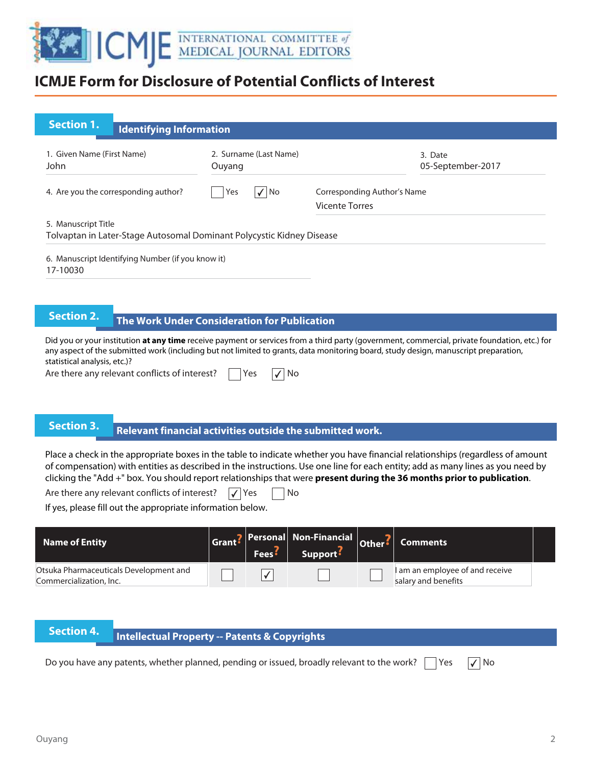

| <b>Section 1.</b>                    | <b>Identifying Information</b>                    |                                                                       |                                                      |
|--------------------------------------|---------------------------------------------------|-----------------------------------------------------------------------|------------------------------------------------------|
| 1. Given Name (First Name)<br>John   |                                                   | 2. Surname (Last Name)<br>Ouyang                                      | 3. Date<br>05-September-2017                         |
| 4. Are you the corresponding author? |                                                   | Yes<br>$\sqrt{ N}$                                                    | Corresponding Author's Name<br><b>Vicente Torres</b> |
| 5. Manuscript Title                  |                                                   | Tolvaptan in Later-Stage Autosomal Dominant Polycystic Kidney Disease |                                                      |
| 17-10030                             | 6. Manuscript Identifying Number (if you know it) |                                                                       |                                                      |

### **The Work Under Consideration for Publication**

Did you or your institution **at any time** receive payment or services from a third party (government, commercial, private foundation, etc.) for any aspect of the submitted work (including but not limited to grants, data monitoring board, study design, manuscript preparation, statistical analysis, etc.)?

Are there any relevant conflicts of interest?  $\Box$  Yes  $\Box$  No

# **Relevant financial activities outside the submitted work. Section 3. Relevant financial activities outset**

Place a check in the appropriate boxes in the table to indicate whether you have financial relationships (regardless of amount of compensation) with entities as described in the instructions. Use one line for each entity; add as many lines as you need by clicking the "Add +" box. You should report relationships that were **present during the 36 months prior to publication**.

Are there any relevant conflicts of interest?  $\sqrt{\ }$  Yes  $\Box$  No

If yes, please fill out the appropriate information below.

| Name of Entity                                                    | <b>Fees</b> | Grant? Personal Non-Financial Other?<br>Support: | <b>Comments</b>                                        |  |
|-------------------------------------------------------------------|-------------|--------------------------------------------------|--------------------------------------------------------|--|
| Otsuka Pharmaceuticals Development and<br>Commercialization, Inc. |             |                                                  | I am an employee of and receive<br>salary and benefits |  |

**Intellectual Property -- Patents & Copyrights**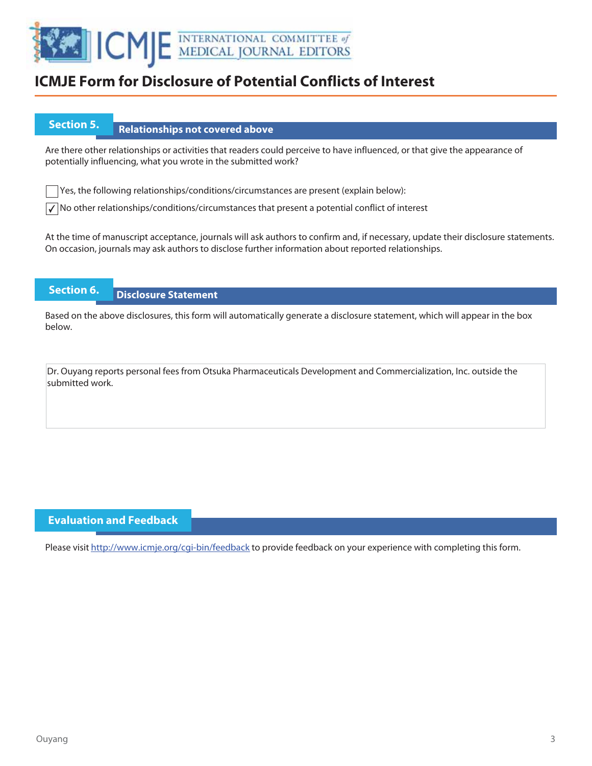

### **Section 5.** Relationships not covered above

Are there other relationships or activities that readers could perceive to have influenced, or that give the appearance of potentially influencing, what you wrote in the submitted work?

Yes, the following relationships/conditions/circumstances are present (explain below):

 $\sqrt{\ }$  No other relationships/conditions/circumstances that present a potential conflict of interest

At the time of manuscript acceptance, journals will ask authors to confirm and, if necessary, update their disclosure statements. On occasion, journals may ask authors to disclose further information about reported relationships.

### **Section 6. Disclosure Statement**

Based on the above disclosures, this form will automatically generate a disclosure statement, which will appear in the box below.

Dr. Ouyang reports personal fees from Otsuka Pharmaceuticals Development and Commercialization, Inc. outside the submitted work.

### **Evaluation and Feedback**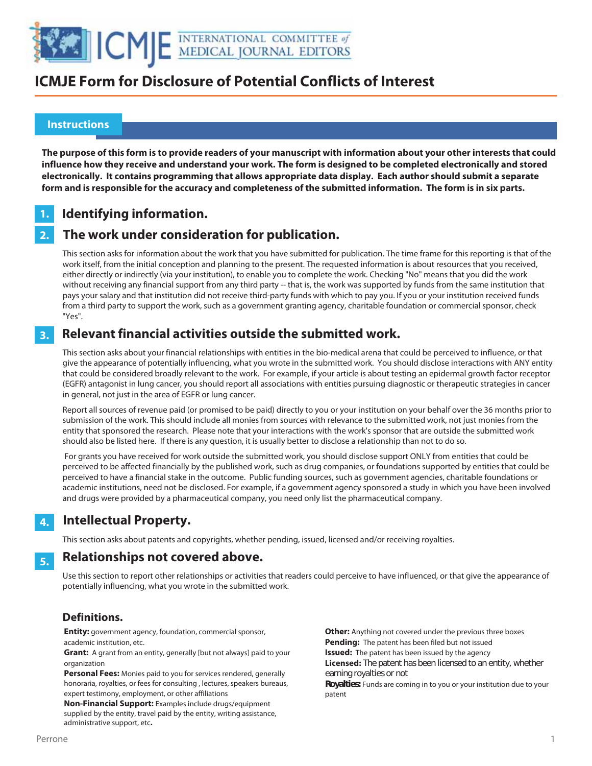

#### **Instructions**

 

> **The purpose of this form is to provide readers of your manuscript with information about your other interests that could influence how they receive and understand your work. The form is designed to be completed electronically and stored electronically. It contains programming that allows appropriate data display. Each author should submit a separate form and is responsible for the accuracy and completeness of the submitted information. The form is in six parts.**

#### **Identifying information. 1.**

#### **The work under consideration for publication. 2.**

This section asks for information about the work that you have submitted for publication. The time frame for this reporting is that of the work itself, from the initial conception and planning to the present. The requested information is about resources that you received, either directly or indirectly (via your institution), to enable you to complete the work. Checking "No" means that you did the work without receiving any financial support from any third party -- that is, the work was supported by funds from the same institution that pays your salary and that institution did not receive third-party funds with which to pay you. If you or your institution received funds from a third party to support the work, such as a government granting agency, charitable foundation or commercial sponsor, check "Yes".

#### **Relevant financial activities outside the submitted work. 3.**

This section asks about your financial relationships with entities in the bio-medical arena that could be perceived to influence, or that give the appearance of potentially influencing, what you wrote in the submitted work. You should disclose interactions with ANY entity that could be considered broadly relevant to the work. For example, if your article is about testing an epidermal growth factor receptor (EGFR) antagonist in lung cancer, you should report all associations with entities pursuing diagnostic or therapeutic strategies in cancer in general, not just in the area of EGFR or lung cancer.

Report all sources of revenue paid (or promised to be paid) directly to you or your institution on your behalf over the 36 months prior to submission of the work. This should include all monies from sources with relevance to the submitted work, not just monies from the entity that sponsored the research. Please note that your interactions with the work's sponsor that are outside the submitted work should also be listed here. If there is any question, it is usually better to disclose a relationship than not to do so.

 For grants you have received for work outside the submitted work, you should disclose support ONLY from entities that could be perceived to be affected financially by the published work, such as drug companies, or foundations supported by entities that could be perceived to have a financial stake in the outcome. Public funding sources, such as government agencies, charitable foundations or academic institutions, need not be disclosed. For example, if a government agency sponsored a study in which you have been involved and drugs were provided by a pharmaceutical company, you need only list the pharmaceutical company.

#### **Intellectual Property. 4.**

This section asks about patents and copyrights, whether pending, issued, licensed and/or receiving royalties.

#### **Relationships not covered above. 5.**

Use this section to report other relationships or activities that readers could perceive to have influenced, or that give the appearance of potentially influencing, what you wrote in the submitted work.

### **Definitions.**

**Entity:** government agency, foundation, commercial sponsor, academic institution, etc.

**Grant:** A grant from an entity, generally [but not always] paid to your organization

**Personal Fees:** Monies paid to you for services rendered, generally honoraria, royalties, or fees for consulting , lectures, speakers bureaus, expert testimony, employment, or other affiliations

**Non-Financial Support:** Examples include drugs/equipment supplied by the entity, travel paid by the entity, writing assistance, administrative support, etc**.**

**Other:** Anything not covered under the previous three boxes **Pending:** The patent has been filed but not issued **Issued:** The patent has been issued by the agency **Licensed:** The patent has been licensed to an entity, whether earning royalties or not **Royalties:** Funds are coming in to you or your institution due to your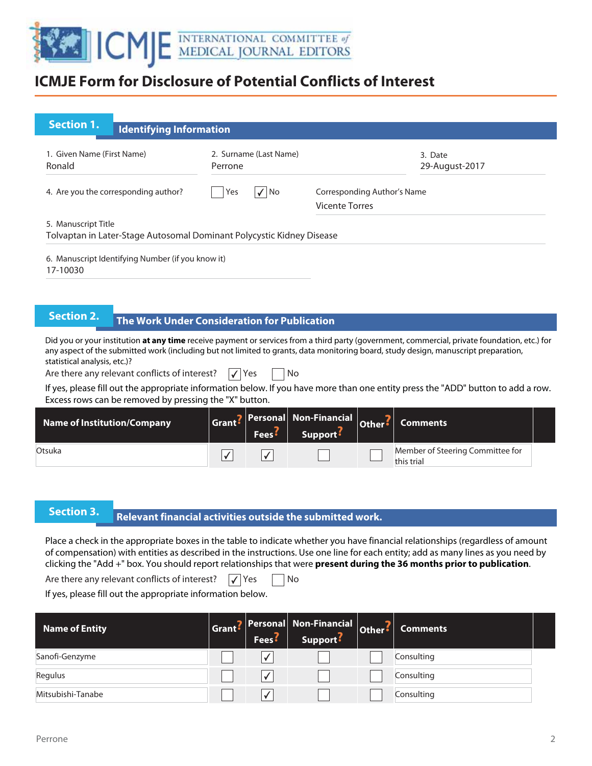

| <b>Section 1.</b><br><b>Identifying Information</b>                                          |                           |                                                      |  |
|----------------------------------------------------------------------------------------------|---------------------------|------------------------------------------------------|--|
| 1. Given Name (First Name)<br>2. Surname (Last Name)<br>Ronald<br>Perrone                    |                           | 3. Date<br>29-August-2017                            |  |
| 4. Are you the corresponding author?                                                         | No<br>Yes<br>$\checkmark$ | Corresponding Author's Name<br><b>Vicente Torres</b> |  |
| 5. Manuscript Title<br>Tolvaptan in Later-Stage Autosomal Dominant Polycystic Kidney Disease |                           |                                                      |  |
| 6. Manuscript Identifying Number (if you know it)<br>17-10030                                |                           |                                                      |  |

### **The Work Under Consideration for Publication**

Did you or your institution **at any time** receive payment or services from a third party (government, commercial, private foundation, etc.) for any aspect of the submitted work (including but not limited to grants, data monitoring board, study design, manuscript preparation, statistical analysis, etc.)?

Are there any relevant conflicts of interest?  $\sqrt{\sqrt{2}}$  Yes  $\sqrt{\sqrt{2}}$  No

| If yes, please fill out the appropriate information below. If you have more than one entity press the "ADD" button to add a row. |  |
|----------------------------------------------------------------------------------------------------------------------------------|--|
| Excess rows can be removed by pressing the "X" button.                                                                           |  |

| <b>Name of Institution/Company</b> | Fees <sup>5</sup> | Grant? Personal Non-Financial Other?<br>Support <sup>:</sup> | <b>Comments</b>                                |  |
|------------------------------------|-------------------|--------------------------------------------------------------|------------------------------------------------|--|
| Otsuka                             |                   |                                                              | Member of Steering Committee for<br>this trial |  |

### **Relevant financial activities outside the submitted work. Section 3. Relevant financial activities outset**

Place a check in the appropriate boxes in the table to indicate whether you have financial relationships (regardless of amount of compensation) with entities as described in the instructions. Use one line for each entity; add as many lines as you need by clicking the "Add +" box. You should report relationships that were **present during the 36 months prior to publication**.

Are there any relevant conflicts of interest?  $\sqrt{\sqrt{S}}$  Yes  $\Box$  No

If yes, please fill out the appropriate information below.

| <b>Name of Entity</b> | Fees <sup>?</sup> | Grant? Personal Non-Financial<br>Support <sup>2</sup> | $ $ Other ? | <b>Comments</b> |  |
|-----------------------|-------------------|-------------------------------------------------------|-------------|-----------------|--|
| Sanofi-Genzyme        |                   |                                                       |             | Consulting      |  |
| Regulus               |                   |                                                       |             | Consulting      |  |
| Mitsubishi-Tanabe     |                   |                                                       |             | Consulting      |  |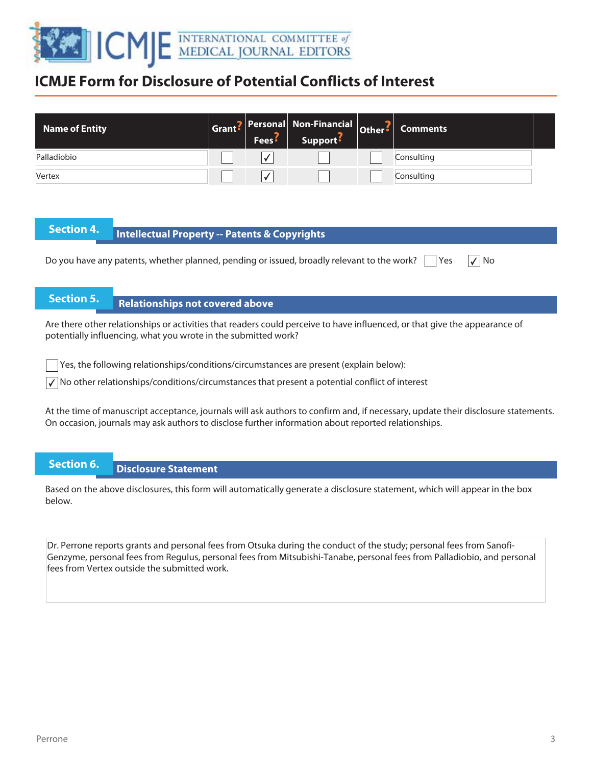

| <b>Name of Entity</b> | <b>Fees</b> | Grant? Personal Non-Financial Other?<br>Support <sup>:</sup> | <b>Comments</b> |  |
|-----------------------|-------------|--------------------------------------------------------------|-----------------|--|
| Palladiobio           |             |                                                              | Consulting      |  |
| <b>Vertex</b>         |             |                                                              | Consulting      |  |

# **Intellectual Property -- Patents & Copyrights**

Do you have any patents, whether planned, pending or issued, broadly relevant to the work?  $\Box$  Yes  $\Box$  No

### **Section 5.** Relationships not covered above

Are there other relationships or activities that readers could perceive to have influenced, or that give the appearance of potentially influencing, what you wrote in the submitted work?

Yes, the following relationships/conditions/circumstances are present (explain below):

 $\sqrt{\ }$  No other relationships/conditions/circumstances that present a potential conflict of interest

At the time of manuscript acceptance, journals will ask authors to confirm and, if necessary, update their disclosure statements. On occasion, journals may ask authors to disclose further information about reported relationships.

### **Section 6. Disclosure Statement**

Based on the above disclosures, this form will automatically generate a disclosure statement, which will appear in the box below.

Dr. Perrone reports grants and personal fees from Otsuka during the conduct of the study; personal fees from Sanofi-Genzyme, personal fees from Regulus, personal fees from Mitsubishi-Tanabe, personal fees from Palladiobio, and personal fees from Vertex outside the submitted work.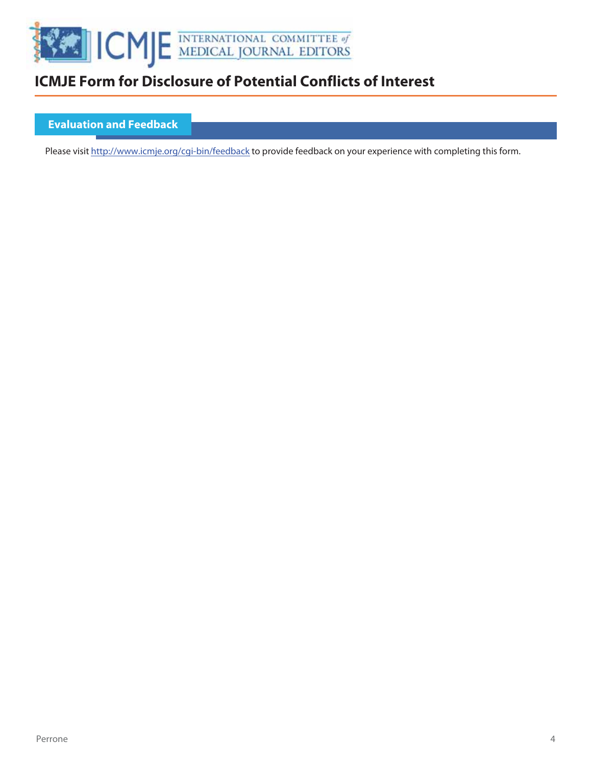

**Evaluation and Feedback**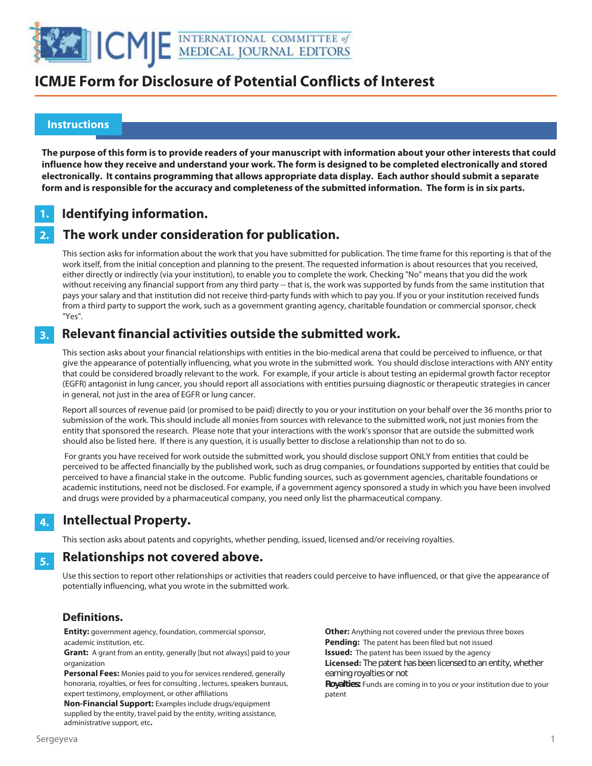

#### **Instructions**

 

> **The purpose of this form is to provide readers of your manuscript with information about your other interests that could influence how they receive and understand your work. The form is designed to be completed electronically and stored electronically. It contains programming that allows appropriate data display. Each author should submit a separate form and is responsible for the accuracy and completeness of the submitted information. The form is in six parts.**

#### **Identifying information. 1.**

#### **The work under consideration for publication. 2.**

This section asks for information about the work that you have submitted for publication. The time frame for this reporting is that of the work itself, from the initial conception and planning to the present. The requested information is about resources that you received, either directly or indirectly (via your institution), to enable you to complete the work. Checking "No" means that you did the work without receiving any financial support from any third party -- that is, the work was supported by funds from the same institution that pays your salary and that institution did not receive third-party funds with which to pay you. If you or your institution received funds from a third party to support the work, such as a government granting agency, charitable foundation or commercial sponsor, check "Yes".

#### **Relevant financial activities outside the submitted work. 3.**

This section asks about your financial relationships with entities in the bio-medical arena that could be perceived to influence, or that give the appearance of potentially influencing, what you wrote in the submitted work. You should disclose interactions with ANY entity that could be considered broadly relevant to the work. For example, if your article is about testing an epidermal growth factor receptor (EGFR) antagonist in lung cancer, you should report all associations with entities pursuing diagnostic or therapeutic strategies in cancer in general, not just in the area of EGFR or lung cancer.

Report all sources of revenue paid (or promised to be paid) directly to you or your institution on your behalf over the 36 months prior to submission of the work. This should include all monies from sources with relevance to the submitted work, not just monies from the entity that sponsored the research. Please note that your interactions with the work's sponsor that are outside the submitted work should also be listed here. If there is any question, it is usually better to disclose a relationship than not to do so.

 For grants you have received for work outside the submitted work, you should disclose support ONLY from entities that could be perceived to be affected financially by the published work, such as drug companies, or foundations supported by entities that could be perceived to have a financial stake in the outcome. Public funding sources, such as government agencies, charitable foundations or academic institutions, need not be disclosed. For example, if a government agency sponsored a study in which you have been involved and drugs were provided by a pharmaceutical company, you need only list the pharmaceutical company.

#### **Intellectual Property. 4.**

This section asks about patents and copyrights, whether pending, issued, licensed and/or receiving royalties.

#### **Relationships not covered above. 5.**

Use this section to report other relationships or activities that readers could perceive to have influenced, or that give the appearance of potentially influencing, what you wrote in the submitted work.

### **Definitions.**

**Entity:** government agency, foundation, commercial sponsor, academic institution, etc.

**Grant:** A grant from an entity, generally [but not always] paid to your organization

**Personal Fees:** Monies paid to you for services rendered, generally honoraria, royalties, or fees for consulting , lectures, speakers bureaus, expert testimony, employment, or other affiliations

**Non-Financial Support:** Examples include drugs/equipment supplied by the entity, travel paid by the entity, writing assistance, administrative support, etc**.**

**Other:** Anything not covered under the previous three boxes **Pending:** The patent has been filed but not issued **Issued:** The patent has been issued by the agency **Licensed:** The patent has been licensed to an entity, whether earning royalties or not **Royalties:** Funds are coming in to you or your institution due to your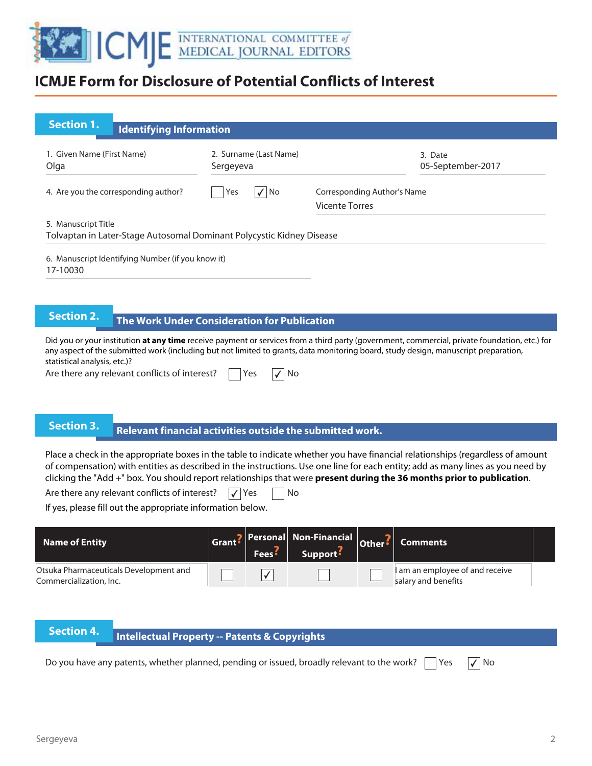

| <b>Section 1.</b>                    | <b>Identifying Information</b>                    |                                                                       |                                                      |
|--------------------------------------|---------------------------------------------------|-----------------------------------------------------------------------|------------------------------------------------------|
| 1. Given Name (First Name)<br>Olga   |                                                   | 2. Surname (Last Name)<br>Sergeyeva                                   | 3. Date<br>05-September-2017                         |
| 4. Are you the corresponding author? |                                                   | $\sqrt{ NQ}$<br>Yes                                                   | Corresponding Author's Name<br><b>Vicente Torres</b> |
| 5. Manuscript Title                  |                                                   | Tolvaptan in Later-Stage Autosomal Dominant Polycystic Kidney Disease |                                                      |
| 17-10030                             | 6. Manuscript Identifying Number (if you know it) |                                                                       |                                                      |

**The Work Under Consideration for Publication** 

Did you or your institution **at any time** receive payment or services from a third party (government, commercial, private foundation, etc.) for any aspect of the submitted work (including but not limited to grants, data monitoring board, study design, manuscript preparation, statistical analysis, etc.)?

Are there any relevant conflicts of interest?  $\Box$  Yes  $\Box$  No

### **Relevant financial activities outside the submitted work. Section 3. Relevant financial activities outset**

Place a check in the appropriate boxes in the table to indicate whether you have financial relationships (regardless of amount of compensation) with entities as described in the instructions. Use one line for each entity; add as many lines as you need by clicking the "Add +" box. You should report relationships that were **present during the 36 months prior to publication**.

Are there any relevant conflicts of interest?  $\sqrt{\ }$  Yes  $\Box$  No

If yes, please fill out the appropriate information below.

| Name of Entity                                                    | <b>Fees</b> | Grant? Personal Non-Financial Other?<br>Support <sup>:</sup> | <b>Comments</b>                                        |  |
|-------------------------------------------------------------------|-------------|--------------------------------------------------------------|--------------------------------------------------------|--|
| Otsuka Pharmaceuticals Development and<br>Commercialization, Inc. |             |                                                              | I am an employee of and receive<br>salary and benefits |  |

**Intellectual Property -- Patents & Copyrights**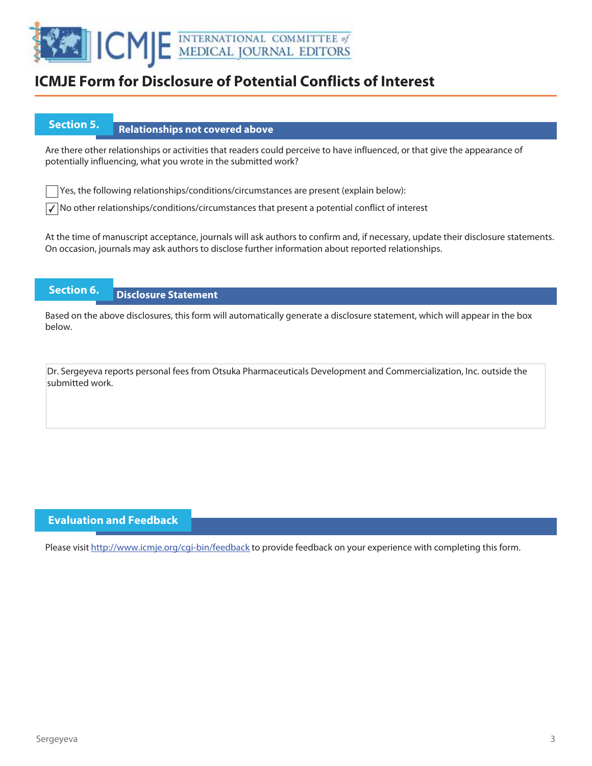

### **Section 5.** Relationships not covered above

Are there other relationships or activities that readers could perceive to have influenced, or that give the appearance of potentially influencing, what you wrote in the submitted work?

Yes, the following relationships/conditions/circumstances are present (explain below):

 $\sqrt{\ }$  No other relationships/conditions/circumstances that present a potential conflict of interest

At the time of manuscript acceptance, journals will ask authors to confirm and, if necessary, update their disclosure statements. On occasion, journals may ask authors to disclose further information about reported relationships.

### **Section 6. Disclosure Statement**

Based on the above disclosures, this form will automatically generate a disclosure statement, which will appear in the box below.

Dr. Sergeyeva reports personal fees from Otsuka Pharmaceuticals Development and Commercialization, Inc. outside the submitted work.

### **Evaluation and Feedback**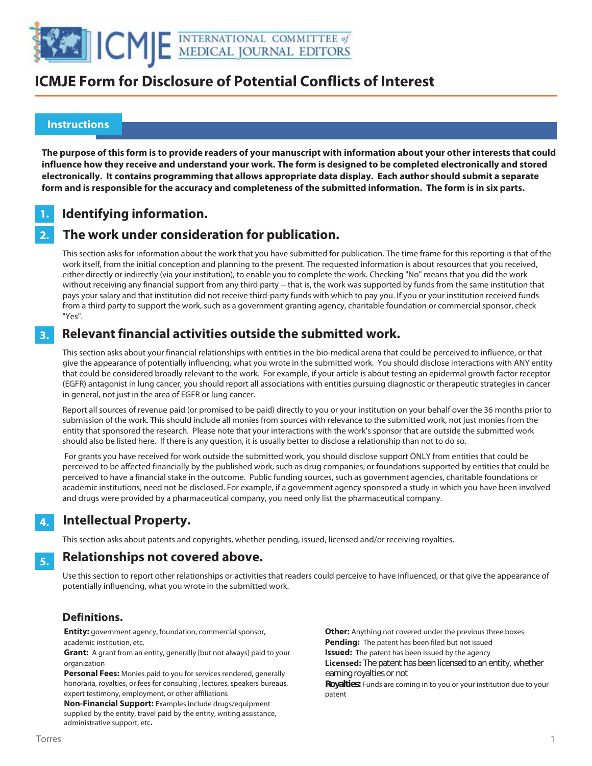

#### **Instructions**

 

> **The purpose of this form is to provide readers of your manuscript with information about your other interests that could influence how they receive and understand your work. The form is designed to be completed electronically and stored electronically. It contains programming that allows appropriate data display. Each author should submit a separate form and is responsible for the accuracy and completeness of the submitted information. The form is in six parts.**

#### **Identifying information. 1.**

#### **The work under consideration for publication. 2.**

This section asks for information about the work that you have submitted for publication. The time frame for this reporting is that of the work itself, from the initial conception and planning to the present. The requested information is about resources that you received, either directly or indirectly (via your institution), to enable you to complete the work. Checking "No" means that you did the work without receiving any financial support from any third party -- that is, the work was supported by funds from the same institution that pays your salary and that institution did not receive third-party funds with which to pay you. If you or your institution received funds from a third party to support the work, such as a government granting agency, charitable foundation or commercial sponsor, check "Yes".

#### **Relevant financial activities outside the submitted work. 3.**

This section asks about your financial relationships with entities in the bio-medical arena that could be perceived to influence, or that give the appearance of potentially influencing, what you wrote in the submitted work. You should disclose interactions with ANY entity that could be considered broadly relevant to the work. For example, if your article is about testing an epidermal growth factor receptor (EGFR) antagonist in lung cancer, you should report all associations with entities pursuing diagnostic or therapeutic strategies in cancer in general, not just in the area of EGFR or lung cancer.

Report all sources of revenue paid (or promised to be paid) directly to you or your institution on your behalf over the 36 months prior to submission of the work. This should include all monies from sources with relevance to the submitted work, not just monies from the entity that sponsored the research. Please note that your interactions with the work's sponsor that are outside the submitted work should also be listed here. If there is any question, it is usually better to disclose a relationship than not to do so.

 For grants you have received for work outside the submitted work, you should disclose support ONLY from entities that could be perceived to be affected financially by the published work, such as drug companies, or foundations supported by entities that could be perceived to have a financial stake in the outcome. Public funding sources, such as government agencies, charitable foundations or academic institutions, need not be disclosed. For example, if a government agency sponsored a study in which you have been involved and drugs were provided by a pharmaceutical company, you need only list the pharmaceutical company.

#### **Intellectual Property. 4.**

This section asks about patents and copyrights, whether pending, issued, licensed and/or receiving royalties.

#### **Relationships not covered above. 5.**

Use this section to report other relationships or activities that readers could perceive to have influenced, or that give the appearance of potentially influencing, what you wrote in the submitted work.

### **Definitions.**

**Entity:** government agency, foundation, commercial sponsor, academic institution, etc.

**Grant:** A grant from an entity, generally [but not always] paid to your organization

**Personal Fees:** Monies paid to you for services rendered, generally honoraria, royalties, or fees for consulting , lectures, speakers bureaus, expert testimony, employment, or other affiliations

**Non-Financial Support:** Examples include drugs/equipment supplied by the entity, travel paid by the entity, writing assistance, administrative support, etc**.**

**Other:** Anything not covered under the previous three boxes **Pending:** The patent has been filed but not issued **Issued:** The patent has been issued by the agency **Licensed:** The patent has been licensed to an entity, whether earning royalties or not **Royalties:** Funds are coming in to you or your institution due to your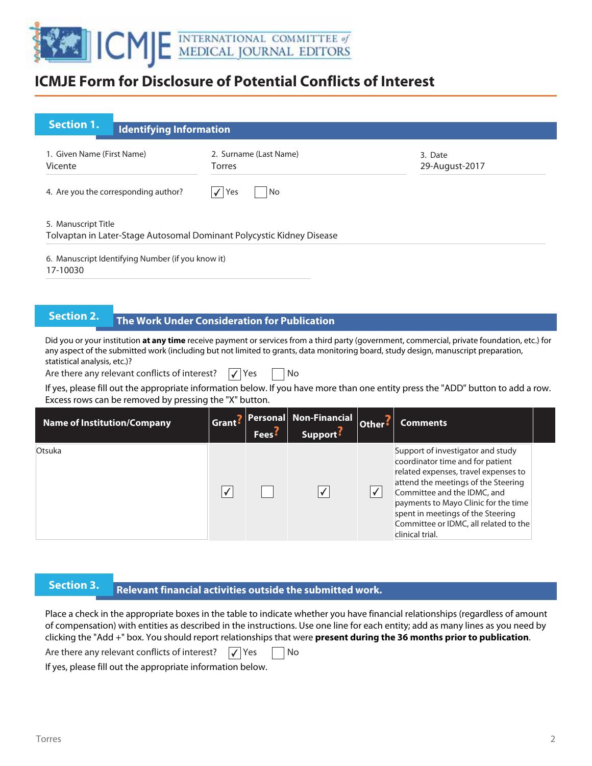

| <b>Section 1.</b>                                 | <b>Identifying Information</b>                                        |                           |
|---------------------------------------------------|-----------------------------------------------------------------------|---------------------------|
| 1. Given Name (First Name)<br>Vicente             | 2. Surname (Last Name)<br><b>Torres</b>                               | 3. Date<br>29-August-2017 |
| 4. Are you the corresponding author?              | $\sqrt{Y}$ es<br>No                                                   |                           |
| 5. Manuscript Title                               | Tolvaptan in Later-Stage Autosomal Dominant Polycystic Kidney Disease |                           |
| 6. Manuscript Identifying Number (if you know it) |                                                                       |                           |

17-10030

### **The Work Under Consideration for Publication**

Did you or your institution **at any time** receive payment or services from a third party (government, commercial, private foundation, etc.) for any aspect of the submitted work (including but not limited to grants, data monitoring board, study design, manuscript preparation, statistical analysis, etc.)?

Are there any relevant conflicts of interest?  $\sqrt{\phantom{a}}$  Yes  $\Box$  No

If yes, please fill out the appropriate information below. If you have more than one entity press the "ADD" button to add a row. Excess rows can be removed by pressing the "X" button.

| <b>Name of Institution/Company</b> | Grant? | <b>Fees</b> : | Personal  Non-Financial  <br>Support - | Other <sup>5</sup> | <b>Comments</b>                                                                                                                                                                                                                                                                                                              |  |
|------------------------------------|--------|---------------|----------------------------------------|--------------------|------------------------------------------------------------------------------------------------------------------------------------------------------------------------------------------------------------------------------------------------------------------------------------------------------------------------------|--|
| Otsuka                             |        |               |                                        |                    | Support of investigator and study<br>coordinator time and for patient<br>related expenses, travel expenses to<br>attend the meetings of the Steering<br>Committee and the IDMC, and<br>payments to Mayo Clinic for the time<br>spent in meetings of the Steering<br>Committee or IDMC, all related to the<br>clinical trial. |  |

### **Relevant financial activities outside the submitted work. Section 3. Relevant financial activities outset**

Place a check in the appropriate boxes in the table to indicate whether you have financial relationships (regardless of amount of compensation) with entities as described in the instructions. Use one line for each entity; add as many lines as you need by clicking the "Add +" box. You should report relationships that were **present during the 36 months prior to publication**.

Are there any relevant conflicts of interest?  $\sqrt{\sqrt{2}}$  Yes  $\sqrt{2}$  No

If yes, please fill out the appropriate information below.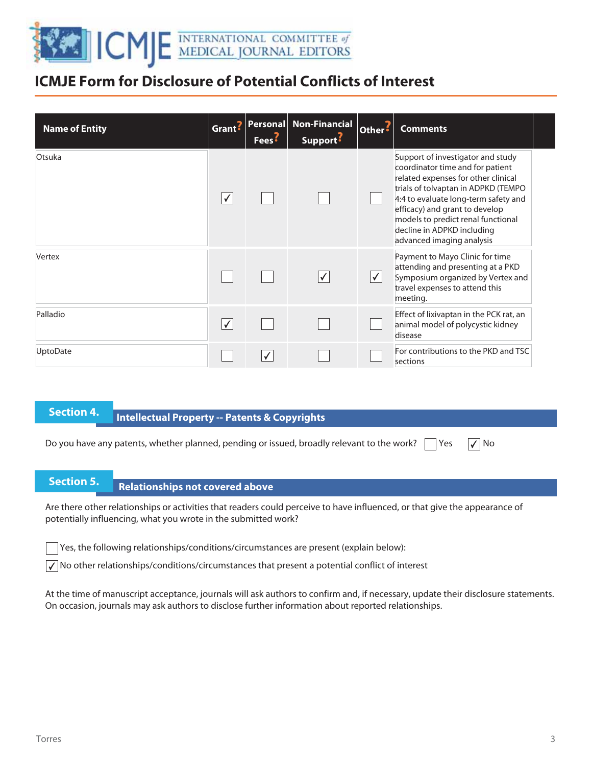

| <b>Name of Entity</b> | Grant <sup>?</sup>   | <b>Fees</b> | Personal   Non-Financial<br>Support <sup>:</sup> | Other <sup>:</sup> | <b>Comments</b>                                                                                                                                                                                                                                                                                                                |  |
|-----------------------|----------------------|-------------|--------------------------------------------------|--------------------|--------------------------------------------------------------------------------------------------------------------------------------------------------------------------------------------------------------------------------------------------------------------------------------------------------------------------------|--|
| Otsuka                | $\blacktriangledown$ |             |                                                  |                    | Support of investigator and study<br>coordinator time and for patient<br>related expenses for other clinical<br>trials of tolvaptan in ADPKD (TEMPO<br>4:4 to evaluate long-term safety and<br>efficacy) and grant to develop<br>models to predict renal functional<br>decline in ADPKD including<br>advanced imaging analysis |  |
| Vertex                |                      |             | $\checkmark$                                     | $\checkmark$       | Payment to Mayo Clinic for time<br>attending and presenting at a PKD<br>Symposium organized by Vertex and<br>travel expenses to attend this<br>meeting.                                                                                                                                                                        |  |
| Palladio              | $\checkmark$         |             |                                                  |                    | Effect of lixivaptan in the PCK rat, an<br>animal model of polycystic kidney<br>disease                                                                                                                                                                                                                                        |  |
| <b>UptoDate</b>       |                      |             |                                                  |                    | For contributions to the PKD and TSC<br>sections                                                                                                                                                                                                                                                                               |  |

### **Intellectual Property -- Patents & Copyrights**

Do you have any patents, whether planned, pending or issued, broadly relevant to the work?  $\Box$  Yes  $\Box$  No

|--|--|--|--|

### **Section 5.** Relationships not covered above

Are there other relationships or activities that readers could perceive to have influenced, or that give the appearance of potentially influencing, what you wrote in the submitted work?

Yes, the following relationships/conditions/circumstances are present (explain below):

 $\sqrt{\sqrt{}}$  No other relationships/conditions/circumstances that present a potential conflict of interest

At the time of manuscript acceptance, journals will ask authors to confirm and, if necessary, update their disclosure statements. On occasion, journals may ask authors to disclose further information about reported relationships.